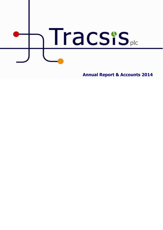

**Annual Report & Accounts 2014**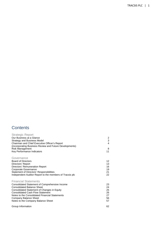# **Contents**

| <b>Strategic Report</b><br>Our Business at a Glance<br><b>Strategy and Business Model</b><br>Chairman and Chief Executive Officer's Report<br>(incorporating Business Review and Future Developments)<br>Risk Management<br>Key Performance Indicators                                                                        | $\frac{2}{3}$<br>$\overline{4}$<br>8<br>11      |
|-------------------------------------------------------------------------------------------------------------------------------------------------------------------------------------------------------------------------------------------------------------------------------------------------------------------------------|-------------------------------------------------|
| Governance<br><b>Board of Directors</b><br>Directors' Report<br>Directors' Remuneration Report<br>Corporate Governance<br>Statement of Directors' Responsibilities<br>Independent Auditor Report to the members of Tracsis plc                                                                                                | $12 \overline{ }$<br>13<br>16<br>19<br>21<br>22 |
| <b>Financial Statements</b><br>Consolidated Statement of Comprehensive Income<br><b>Consolidated Balance Sheet</b><br>Consolidated Statement of Changes in Equity<br><b>Consolidated Cash Flow Statement</b><br>Notes to the Consolidated Financial Statements<br>Company Balance Sheet<br>Notes to the Company Balance Sheet | 23<br>24<br>25<br>26<br>27<br>56<br>57          |
| Group Information                                                                                                                                                                                                                                                                                                             | 62                                              |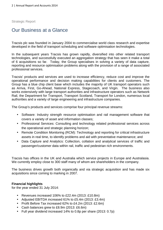# Our Business at a Glance

Tracsis plc was founded in January 2004 to commercialise world class research and expertise developed in the field of transport scheduling and software optimisation technologies.

In the subsequent years Tracsis has grown rapidly, diversified into other related transport technologies, and successfully executed an aggregation strategy that has seen it make a total of 6 acquisitions so far. Today, the Group specialises in solving a variety of data capture, reporting and resource optimisation problems along with the provision of a range of associated professional services.

Tracsis' products and services are used to increase efficiency, reduce cost and improve the operational performance and decision making capabilities for clients and customers. The Group has a blue chip client base which includes the majority of UK transport operators such as Arriva, First, Go-Ahead, National Express, Stagecoach, and Virgin. The business also works extensively with large transport authorities and infrastructure operators such as Network Rail, the Department for Transport, Transport Scotland, Transport for London, numerous local authorities and a variety of large engineering and infrastructure companies.

The Group's products and services comprise four principal revenue streams:

- Software: Industry strength resource optimisation and rail management software that covers a variety of asset and information classes;
- Professional Services: Consulting and technology related professional services across the operational and strategic planning horizon;
- Remote Condition Monitoring (RCM): Technology and reporting for critical infrastructure assets in real time, to identify problems and aid with preventative maintenance; and
- Data Capture and Analytics: Collection, collation and analytical services of traffic and passenger/customer data within rail, traffic and pedestrian rich environments.

Tracsis has offices in the UK and Australia which service projects in Europe and Australasia. We currently employ close to 300 staff many of whom are shareholders in the company.

The business drives growth both organically and via strategic acquisition and has made six acquisitions since coming to marking in 2007.

## **Financial highlights**

for the year ended 31 July 2014:

- Revenues increased 106% to £22.4m (2013: £10.8m)
- Adjusted EBITDA increased 61% to £5.4m (2013: £3.4m)
- Profit Before Tax increased 62% to £4.2m (2013: £2.6m)
- Cash balances grew to £8.9m (2013: £6.6m)
- Full year dividend increased 14% to 0.8p per share (2013: 0.7p)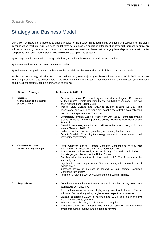# Strategy and Business Model

Our vision for Tracsis is to become a leading provider of high value, niche technology solutions and services for the global transportations markets. Our business model remains focussed on specialist offerings that have high barriers to entry, are sold on a recurring basis under contract, and to a retained customer base that is largely blue chip in nature with limited competitive pressures. Our vision will be achieved via a 3 pronged strategy.

- 1) Manageable, industry-led organic growth through continual innovation of products and services.
- 2) International expansion in select overseas markets.
- 3) Reinvesting our profits to fund further accretive acquisitions that meet with our disciplined investment criteria.

We believe our strategy will allow Tracsis to continue the growth trajectory we have achieved since IPO in 2007 and deliver further significant value to shareholders in the short, medium and long term. Achievements made in the past year in respect of our business strategy can be summarised as follows:

| <b>Strand of Strategy:</b>             | Achievements 2013/14:                                                                                                                         |
|----------------------------------------|-----------------------------------------------------------------------------------------------------------------------------------------------|
| Organic<br>further sales from existing | Renewal of a major Framework Agreement with our largest UK customer<br>for the Group's Remote Condition Monitoring (RCM) technology. This has |

- for the Group's Remote Condition Monitoring (RCM) technology. This has been extended until March 2018 • Tracsis Data Capture and Analytics division (trading as Sky High
	- Technology) selected to deliver a significant piece of traffic data collection work for the Department for Transport
- Consultancy division worked extensively with various transport owning groups on the re-franchising of East Coast, Docklands Light Railway and **ScotRail**
- Growth in revenues, excluding acquisitions in the current year, to £21.8m versus £10.8m in 2012/13
- Software products continually evolving via industry led feedback
- Remote Condition Monitoring technology continue to receive research and development investment
- 2 **Overseas Markets** as yet relatively untapped

products to UK

- North American pilot for Remote Condition Monitoring technology with major Class 1 rail operator announced November 2013
- This work was subsequently extended in July 2014 and now includes 11 discrete geographies across the United States
- Our Australian data capture division contributed £1.7m of revenue in the financial year
- Significant software project won in Sweden working with a major transport owning group
- Increased levels of business in Ireland for our Remote Condition Monitoring technology
- Permanent Ireland presence established and new staff in place

- 3 **Acquisitions** Completed the purchase of Datasys Integration Limited in May 2014 our sixth acquisition since IPO
	- This rail technology business is highly complementary to the core Tracsis software offering with good synergies across respective businesses
	- Datasys contributed £0.5m to revenue and £0.1m to profit in the two month period prior to year end
	- Purchase price of £4.5m, less £1.3m of cash acquired
	- The Group anticipates Datasys will be highly accretive to Tracsis with high levels of recurring revenue and profit going forward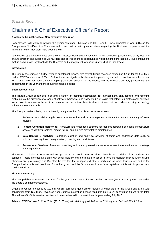# Chairman & Chief Executive Officer's Report

### **A welcome from Chris Cole, Non-Executive Chairman**

I am pleased, with John, to provide this year's combined Chairman and CEO report. I was appointed in April 2014 as the Group's new Non-Executive Chairman and I can confirm that my expectations regarding the Business, its people and the Markets in which they work have been upheld.

I am excited by the opportunities available to Tracsis, indeed it was a key factor in my decision to join, and one of my jobs is to ensure direction and support as we navigate and deliver on these opportunities whilst making sure that the Group continues to mature as we grow. My thanks to the Directors and Management for assisting my induction into Tracsis.

#### **Introduction**

The Group has enjoyed a further year of substantial growth, with overall Group revenues exceeding £20m for the first time, and an EBITDA in excess of £5m. Both of these are significantly ahead of the previous year and a considerable achievement for Tracsis. This has been a year of rapid growth and success for the Group, and the Directors are very pleased with the performance in the year and the resulting financial position.

#### **Business overview**

The Tracsis Group specialises in solving a variety of resource optimisation, rail management, data capture, and reporting problems via the provision of a range of software, hardware, and associated high value technology led professional services. We choose to operate in these niche areas where we believe there is clear customer pain and where existing technology solutions are not available.

The Group's market offering can be broadly categorised into four distinct revenue streams;

- 1. **Software**: Industrial strength resource optimisation and rail management software that covers a variety of asset classes.
- 2. **Remote Condition Monitoring**: Hardware and embedded software for real-time reporting on critical infrastructure assets, to identify problems, predict failure, and aid with preventative maintenance.
- 3. **Data Capture & Analytics**: Collection, collation and analytical services of traffic and pedestrian data such as volumes, queuing times, categorisation, crowding and dwell times.
- 4. **Professional Services**: Transport consulting and related professional services across the operational and strategic planning horizon.

The Group's mission is to solve well recognised issues within transportation. Through the provision of its products and services, Tracsis provides its clients with better visibility and information to assist in front line decision making whilst driving efficiency and productivity. The Directors believe that the transport industry, in particular rail which forms a key part of the Group's business, is well positioned for further growth and the Group should be able to capitalise on this with its product and service offerings.

#### **Financial summary**

The Group delivered revenue of £22.4m for the year, an increase of 106% on the prior year (2013: £10.8m) which exceeded the Board's original expectations.

Organic revenues increased to £21.8m, which represents good growth across all other parts of the Group and a full year contribution from Sky High. Revenues from Datasys Integration Limited (acquired May 2014) contributed £0.5m to the total. The full benefit of this latest acquisition will be experienced in the next financial year ending July 2015.

Adjusted EBITDA\* rose 61% to £5.4m (2013: £3.4m) with statutory profit before tax 62% higher at £4.2m (2013: £2.6m).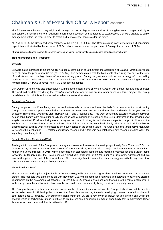# Chairman & Chief Executive Officer's Report continued

The full year contribution of Sky High and Datasys has led to higher amortisation of intangible asset charges and higher depreciation. It has also led to an additional share based payment charge relating to stock options that were granted to senior management within the team in order to retain and motivate key individuals for the future.

At 31 July 2014, the Group had cash balances of £8.9m (2013: £6.6m). The Group's strong cash generation and conversion capabilities is illustrated by the increase of £2.3m, which was in spite of the purchase of Datasys for net cash of £2.9m.

\* Earnings before finance income, tax, depreciation, amortisation, exceptional items and share-based payment charges

#### **Trading Progress and Prospects**

#### **Software**

Software sales increased to £2.8m, which includes a contribution of £0.5m from the acquisition of Datasys. Organic revenues were ahead of the prior year at £2.3m (2013: £2.1m). This demonstrates both the high levels of recurring revenue for the suite of products and also the high levels of renewals taking place. During the year we continued our strategy of cross selling products to our existing customer base and achieved new sales of TRACS Roster, TRACS-RS and also converting one of the few remaining UK TOCs to adopt TrainTRACS for operational use.

Our COMPASS team was also successful in winning a significant piece of work in Sweden with a major rail and bus operator. This work will be delivered during the FY14/15 financial year and follows on from other successful large projects the Group has delivered in both this territory as well as other international locations.

#### Professional Services

During the period, our Consultancy team worked extensively on various rail franchise bids for a number of transport owning Groups. Our teams supported submissions for the recent East Coast and Scot Rail franchises and earlier in the year worked on Essex Thameside, Docklands Light Railway (DLR) and Crossrail bids. This work contributed towards revenues delivered by our consultancy team amounting to £1.8m, which was a significant increase on the £1.1m delivered in the previous year largely due to the UK rail franchising model being back on track. Looking forward, the team expects to support bidders for the Northern and TransPennine Express franchise bids which are due to be submitted shortly. The DfT's revised timetable for bidding activity outlines what is expected to be a busy period in the coming years. The Group has also taken active measures to increase the level of non-TOC related consultancy revenue and in this vein has established new revenue streams within the signalling consultancy field.

### Remote Condition Monitoring (RCM)

Trading within this part of the Group was once again buoyant with revenues increasing significantly from £3.4m to £5.8m. In October 2013, the Group secured the renewal of a Framework Agreement with a major UK infrastructure customer for a further five years through to 2018 which underpins our technology footprint and trading prospects for this division going forwards. In January 2014, the Group secured a significant initial order of £2.2m under this Framework Agreement and this was fulfilled prior to the end of the financial year. There was significant demand for this technology out with this agreement for substantial sales across a range of other customers.

#### North America roll-out

The Group secured a pilot project for its RCM technology with one of the largest class 1 railroad operators in the United States. The first sale was announced on 14th November 2013 which comprised hardware and software to cover five discrete geographies on the customer's rail network. On 24<sup>th</sup> July 2014, Tracsis announced a further sale to the same customer for a further six geographies, all of which have now been installed and are currently being monitored on a daily basis.

The Group anticipates further orders in due course as the client continues to evaluate the Group's technology and its benefits for its wider network. Following this success, the Group is now working towards developing commercial relationships with other large class 1 railroads. Our expansion plans within the US are a key driver of growth for this division and whilst the specific timing of technology uptake is difficult to predict, we see a considerable market opportunity that is many times larger than what we have achieved thus far within the UK.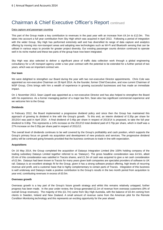# Chairman & Chief Executive Officer's Report continued

#### Data capture and passenger counting

This part of the Group made a key contribution to revenues in the past year with an increase from £4.1m to £12.0m. This takes into account a full year contribution from Sky High which was acquired in April 2013. Following a period of integration with the wider Group, Sky High has performed extremely well and has diversified its range of data capture and analytics offering by moving into non-transport areas and adopting new technologies such as Wi-Fi and Bluetooth sensing that can be utilised in various ways to provide for greater project diversity. Our existing passenger counts division continued to operate well in its niche market and these two parts of the group have now been integrated.

Sky High was also selected to deliver a significant piece of traffic data collection work through a global engineering consultancy for a UK transport agency under a two year contract with the potential to be extended for a further period of two years, which was an important contract win.

#### **Our team**

We were delighted to strengthen our Board during the year with two non-executive Director appointments. Chris Cole was appointed as non-executive Chairman on 28 April 2014. As the founder, former Chief Executive, and now current Chairman of WSP Group, Chris brings with him a wealth of experience in growing successful businesses and has made an immediate impact.

On 1 November 2013, Sean Lippell was appointed as a non-executive Director and has also helped to strengthen the Board with his experience. As a former managing partner of a major law firm, Sean also has significant commercial experience and we welcome him to the Group.

#### **Dividends**

In February 2012, the Board implemented a progressive dividend policy and since then the Group has maintained this approach of growing its dividend in line with the Group's growth. To this end, an interim dividend of 0.35p per share for 2013/14 was paid in April 2014. A final dividend of 0.45p per share in respect of 2013/14 is proposed, to take the full year dividend to 0.80p. This represents a 14% increase on the 2012/13 total dividend paid of 0.70p per share, which in itself was a 27% increase on the 0.55p per share paid in respect of 2011/12.

The overall level of dividends continues to be well covered by the Group's profitability and cash position, which supports the Group's primary focus on growth via acquisition and development of new products and services. The progressive dividend policy will be continued going forwards provided that the business continues to trade in line with expectation.

#### **Acquisitions**

On 16 May 2014, the Group completed the acquisition of Datasys Integration Limited (the 100% holding company of the trading subsidiary Datasys Limited together referred to as 'Datasys'). The gross headline consideration was £4.5m, albeit £0.4m of this consideration was satisfied in Tracsis shares, and £1.3m of cash was acquired to give a net cash consideration of £2.9m. Datasys had been known to Tracsis for many years given both companies are specialist providers of software to UK rail. Datasys is an excellent strategic fit for the Group, given it has a strong software product offering, high levels of recurring revenue and profit, and a customer base that is highly complementary to certain parts of Tracsis. Integration of this business is well underway and Datasys made a positive contribution to the Group's results in the two month period from acquisition to year end, contributing revenues in excess of £0.5m.

#### **Overseas growth**

Overseas growth is a key part of the Group's future growth strategy and whilst this remains relatively untapped, further progress has been made. In the year under review, the Group generated £2.1m of revenue from overseas customers (9% of overall Group revenues). The majority of this (£1.7m) came from Sky High Australia, with the balance of £0.4m coming from clients in Sweden, Ireland and New Zealand. A small amount of revenue came from the American pilot for the Remote Condition Monitoring technology and this represents an exciting opportunity for the year ahead.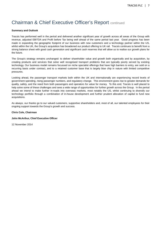# Chairman & Chief Executive Officer's Report continued

#### **Summary and Outlook**

Tracsis has performed well in the period and delivered another significant year of growth across all areas of the Group with revenue, adjusted EBITDA and Profit before Tax being well ahead of the same period last year. Good progress has been made in expanding the geographic footprint of our business with new customers and a technology partner within the US, whilst within the UK, the Group's acquisition has broadened our product offering to UK rail. Tracsis continues to benefit from a strong balance sheet with good cash generation and significant cash reserves that will allow us to realise our growth plans for the future.

The Group's strategy remains unchanged: to deliver shareholder value and growth both organically and by acquisition, by creating products and services that solve well recognised transport problems that are typically poorly served by existing technology. Our business model remains focussed on niche specialist offerings that have high barriers to entry, are sold on a recurring basis under contract, and to a retained customer base that is largely blue chip in nature with limited competitive pressures.

Looking ahead, the passenger transport markets both within the UK and internationally are experiencing record levels of government spending, rising passenger numbers, and regulatory change. This environment gives rise to greater demands for quality, safety, and the need from both passengers and operators for value for money. To this end, Tracsis is well placed to help solve some of these challenges and sees a wide range of opportunities for further growth across the Group. In the period ahead we intend to make further in-roads into overseas markets, most notably the US, whilst continuing to diversify our technology portfolio through a combination of in-house development and further prudent allocation of capital to fund new acquisitions.

As always, our thanks go to our valued customers, supportive shareholders and, most of all, our talented employees for their ongoing support towards the Group's growth and success.

#### **Chris Cole, Chairman**

#### **John McArthur, Chief Executive Officer**

12 November 2014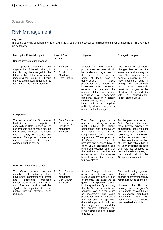# Risk Management

#### **Key risks**

The board carefully considers the risks facing the Group and endeavour to minimise the impact of those risks. The key risks are as follows:

| Description/Potential impact:                                                                                                                                                                                                                                                                              | Area of Group<br>impacted:                                                                 | Mitigation:                                                                                                                                                                                                                                                                                                                                                                                                                                                                                                                                | Change in the year:                                                                                                                                                                                                                                                                                                                                                                                                |
|------------------------------------------------------------------------------------------------------------------------------------------------------------------------------------------------------------------------------------------------------------------------------------------------------------|--------------------------------------------------------------------------------------------|--------------------------------------------------------------------------------------------------------------------------------------------------------------------------------------------------------------------------------------------------------------------------------------------------------------------------------------------------------------------------------------------------------------------------------------------------------------------------------------------------------------------------------------------|--------------------------------------------------------------------------------------------------------------------------------------------------------------------------------------------------------------------------------------------------------------------------------------------------------------------------------------------------------------------------------------------------------------------|
| Rail industry structure changes<br>The<br>present<br>structure<br>and<br>organisation of the rail industry in<br>the UK may be changed in the<br>future, or by a future government,<br>impacting the Group. The Group<br>derives a significant amount of its<br>results from the UK rail industry.         | Software<br>1.<br>2.<br>Consultancy<br>Condition<br>3.<br>Monitoring<br>Data Capture<br>4. | of<br>Several<br>the<br>Group's<br>products and services will still<br>be in demand regardless of<br>the structure of the industry as<br>of<br>them<br>have<br>some<br>a -<br>demonstrable<br>value<br>proposition and<br>return<br>on<br>investment case. The Group<br>that demand<br>for<br>expects<br>certain solutions will remain<br>of<br>regardless<br>ownership<br>structure. However, in certain<br>circumstances, there is very<br>little<br>mitigation<br>against<br>politically driven changes or<br>other structural changes. | The threat of structural<br>changes has existed for<br>some time and is always a<br>risk. The prospect of a<br>general election in 2015<br>may potentially bring a<br>change<br>of<br>Government<br>which<br>potentially<br>may<br>result in changes to the<br>structure of the industry<br>with<br>consequential<br>a<br>impact on the Group.                                                                     |
| Competition                                                                                                                                                                                                                                                                                                |                                                                                            |                                                                                                                                                                                                                                                                                                                                                                                                                                                                                                                                            |                                                                                                                                                                                                                                                                                                                                                                                                                    |
| The success of the Group may<br>lead to increased competition,<br>especially in Data Capture where<br>our products and services may be<br>more easily replicated. The Group<br>has a variety of product and<br>service offerings and some are<br>exposed<br>to<br>more<br>more<br>competition than others. | Data Capture<br>1.<br>2.<br>Consultancy<br>Condition<br>3.<br>Monitoring<br>Software<br>4. | The<br>Group<br>close<br>pays<br>attention to pricing for areas<br>subject<br>most<br>to<br>strong<br>competition and endeavours<br>make<br>it<br>sure<br>is<br>to<br>competitively<br>where<br>priced<br>appropriate. Where possible,<br>the Group tries to ensure its<br>products and services have a<br>clear value proposition and<br>return on investment such that<br>the products and services are<br>embedded within its customer<br>base to reduce the exposure<br>to new entrants.                                               | For the year under review,<br>Data Capture, the area<br>most heavily exposed to<br>competition, accounted for<br>around half of the Group's<br>revenues, which increased<br>on the previous year due to<br>the timing of the acquisition<br>of Sky High which has a<br>full year of trading included<br>this year as opposed to<br>reduced levels last year, so<br>the overall risk to the<br>Group has increased. |

#### Reduced government spending

The Group derives revenues directly and indirectly from government commitment to invest and modernise transport 3. infrastructure, especially in the UK and Australia, and would be significantly impacted if these public funding streams were reduced.

- 1. Data Capture 2. Condition
	- Monitoring **Consultancy**
- 4. Software

As the Group continues to grow and develop more revenue streams and sources of income, the exposure to government spending should in theory reduce. By ensuring that the Group's products and services have a clear return on investment and value proposition, then in the event that reduction in spending does take place, it is hoped that budget and demand for the group's offerings will remain strong and not subject to reduction.

The forthcoming general election and potential change of government may result in reduced spending.

However, the UK rail industry, one of the group's key markets, has continued to experience significant investment from the Government and the Group has benefited from this.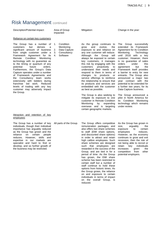# Risk Management continued

Description/Potential impact: Area of Group

impacted:

Reliance on certain key customers

The Group has a number of customers but derives a significant amount of business from single customer under a Framework Agreement for its Remote Condition Monitoring technology with no guarantee as to the timing or quantum of any potential future orders. Furthermore, the Group's Data Capture operates under a number of Framework Agreements and the Consultancy team works extensively with bidders during franchise bid work. Reduced levels of trading with any key customer may adversely impact the Group.

- 1. Condition Monitoring 2. Data Capture
- 3. Consultancy **Software**

exposure to and reliance on any one customer will reduce. Although the Group will always be exposed to certain key customers, it manages this risk by engaging with the customers proactively to understand their needs and respond to them in terms of changes to products or service offerings to reinforce the relationship to ensure that its products and services are embedded with the customer as best as possible.

As the group continues to grow and evolve, the

Mitigation: Change in the year:

The Group is also seeking to mitigate its exposure to one customer in Remote Condition Monitoring by expanding overseas and is targeting certain geographic markets.

The Group successfully extended its Framework Agreement for its Condition Monitoring Technology until 2018 with a key customer. However, there is no guarantee of sales orders under this agreement but the Framework itself provides a barrier to entry for new entrants. The Group also announced a major two year contract with the potential to be extended for a further two years, for its Data Capture business.

The Group announced a pilot in North America for its Condition Monitoring technology which remains under review.

Attraction and retention of key employees

The Group has a number of key individuals, though their individual importance has arguably reduced as the Group has grown and the reliance on certain people reduces. However, skills and expertise in our markets are specialist and hard to find or develop, and so further growth of the business may be restricted.

All parts of the Group. The Group offers competitive remuneration packages, and also offers two share schemes to staff (EMI share options, and discounted share options) in order to attract and retain high calibre employees. Such share schemes are designed such that employees are rewarded in the success of the Group, and are tied in for a period of time. As the Group has grown, the EMI share scheme has been restricted to certain staff but a number of staff continue to hold these options from historic times. As the Group grows, the reliance on and exposure to certain individuals in terms of impact on the overall Group, is reduced.

As the Group has grown in size, arguably the exposure to certain employees reduces. However, as the economy continues to grow and exit recession, then the risk of not being able to recruit or retain key individuals increases given the competition from other potential employers.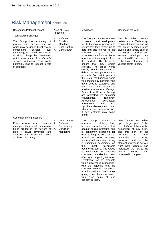# Risk Management continued

#### Description/Potential impact: Area of Group

#### Technological changes

The Group has a variety of product and service offerings which may be under threat should competitors develop rival technology or should better ways of doing things be discovered which make some of the Group's services redundant. This could potentially lead to reduced levels of business.

# impacted:

- 1. Software
- 2. Condition **Monitoring**
- 3. Data Capture
- 4. Consultancy

for its technology products to ensure that they remain up to date and also relevant to the customer base, as it also takes feedback from its clients about what they require from the products. This helps to ensure that they remain relevant. The group works closely with its customers to deliver the next generation of products. For certain parts of the Group, the business works with technology partners who have specific expertise and can help the Group to maximise its service offerings. Some of the Group's offerings are protected by customer relationships, Framework Agreements, contractual agreements and also significant development costs, which provide protection even if new entrants may come along.

The Group continues to invest in research and development

The Group believes it operates a relatively lean business in order to protect against pricing pressure, and is constantly searching for ways to keep its cost base to a minimum. When reviewing tenders and enquiries, pricing is submitted accordingly on the most favourable commercial terms. The Group is committed to ensuring customer satisfaction and offering a compelling return on investment for its products with a clear value proposition, with the objective that the customer base will continue to take its products due to their quality and business case, with price being of less concern to them.

Mitigation: Change in the year:

This is under constant review as a Technology focussed business and as the group becomes more diverse and larger, each of the Group's product and service offerings are subject to different levels of technology threats at various points in time.

Data Capture now makes up a larger part of the overall Group following the acquisition of Sky High, and this part of the business is most vulnerable to pricing pressure, and as the element of revenue derived from Data Capture has increased, the risk to the overall Group has increased in the year.

### Customer pricing pressure

Price pressure from customers may potentially result in margins being eroded in the fullness of time if lower revenues are achieved than those which were achieved historically.

- 1. Data Capture
- 2. Software 3. Consultancy
- 4. Condition Monitoring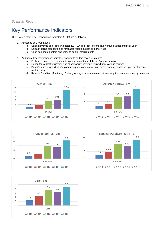# Key Performance Indicators

The Group's main Key Performance Indicators (KPIs) are as follows:

- 1. Assessed at Group Level:
	- a. Sales Revenue and Profit (Adjusted EBITDA and Profit before Tax) versus budget and prior year
	- b. Sales Pipeline prospects and forecasts versus budget and prior year
	- c. Cash balances, debtors and working capital requirements
- 2. Additional Key Performance Indicators specific to certain revenue streams
	- a. Software: Customer renewal rates and new customer take up / product matrix
	- b. Consultancy: Staff utilisation and chargeability, revenue derived from various sources
	- c. Data Capture & Analytics: Customer enquiries and conversion rates, working capital tie up in debtors and work in progress
	- d. Remote Condition Monitoring: Delivery of major orders versus customer requirements, revenue by customer





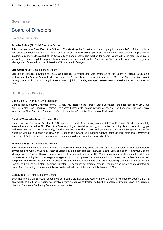Governance

# Board of Directors

### Executive Directors

### **John McArthur** (39) Chief Executive Officer

John has been the Chief Executive Officer of Tracsis since the formation of the company in January 2004. Prior to this he worked as an investment manager with Techtran Group Limited which specialises in developing the commercial potential of intellectual property developed at the University of Leeds. John also worked for several years with Axiomlab Group plc, a technology venture capital company, having started his career with Arthur Andersen & Co. He holds a first class degree in Management Science from the University of Strathclyde in Glasgow.

### **Max Cawthra** (36) Chief Financial Officer

Max joined Tracsis in September 2010 as Financial Controller and was promoted to the Board in August 2011, as a replacement for Darren Bamforth who had acted as Finance Director on a part time basis. Max is a Chartered Accountant, having trained with Ernst & Young in Leeds. Prior to joining Tracsis, Max spent seven years at Persimmon plc in a variety of roles.

### Non-Executive Directors

### **Chris Cole** (68) Non-Executive Chairman

Chris is Non-Executive Chairman of WSP Global Inc. (listed on the Toronto Stock Exchange), the successor to WSP Group plc. He is also Non-Executive Chairman of Ashtead Group plc, having previously been a Non-Executive Director, Senior Independent Non-Executive Director of Infinis plc, and Non-Executive Chairman of Redcentric plc.

### **Charles Winward** (44) Non-Executive Director

Charles was an Executive Director of IP Group plc until April 2014, having joined in 2007. At IP Group, Charles successfully invested in and served as Non-Executive Director at high potential technology companies, including Retroscreen Virology plc and Xeros Technology plc. Previously, Charles was Vice President of Technology Infrastructure at J P Morgan Chase & Co, where he worked in London and New York. Charles is a Chartered Financial Analyst, holds an MBA from the University of California at Berkeley and an undergraduate engineering degree from the University of Bristol.

### **John Nelson** (67) Non-Executive Director

John Nelson has worked at the top of the rail industry for over thirty years and has been in the sector for 46 in total. Before privatisation he was Managing Director of British Rail's biggest business, Network South East, and prior to that was General Manager of the Eastern Region, then a quarter of the rail network in the UK. Since privatisation he has established 7 new businesses including leading strategic management consultancy First Class Partnerships and the country's first Open Access company, Hull Trains. At one time or another he has chaired the Boards of 13 train operating companies and sat on the Boards of 4 others as a Non Executive Director. He continues to promote new rail ventures and was recently granted an award for outstanding personal contribution to the rail industry at the National Rail Awards 2013.

### **Sean Lippell** (64) Non-Executive Director

Sean has more than 35 years' experience as a corporate lawyer and was formerly Member of Addleshaw Goddard LLP, a post which he held for 13 years, five of which were as Managing Partner within their corporate division. Sean is currently a director of Acceleris Marketing Communications Limited.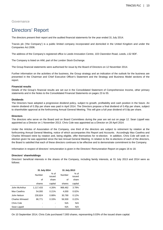### Governance

# Directors' Report

The directors present their report and the audited financial statements for the year ended 31 July 2014.

Tracsis plc ('the Company') is a public limited company incorporated and domiciled in the United Kingdom and under the Companies Act 2006.

The address of the Company's registered office is Leeds Innovation Centre, 103 Clarendon Road, Leeds, LS2 9DF.

The Company is listed on AIM, part of the London Stock Exchange.

The Group financial statements were authorised for issue by the Board of Directors on 12 November 2014.

Further information on the activities of the business, the Group strategy and an indication of the outlook for the business are presented in the Chairman and Chief Executive Officer's Statement and the Strategy and Business Model sections of the report.

#### **Financial results**

Details of the Group's financial results are set out in the Consolidated Statement of Comprehensive Income, other primary statements and in the Notes to the Consolidated Financial Statements on pages 23 to 55.

#### **Dividends**

The Directors have adopted a progressive dividend policy, subject to growth, profitability and cash position in the future. An interim dividend of 0.35p per share was paid in April 2014. The Directors propose a final dividend of 0.45p per share, subject to shareholder approval at the forthcoming Annual General Meeting. This will give a full year dividend of 0.8p per share.

#### **Directors**

The directors who serve on the Board and on Board Committees during the year are set out on page 12. Sean Lippell was appointed as a Director on 1 November 2013. Chris Cole was appointed as a Director on 28 April 2014.

Under the Articles of Association of the Company, one third of the directors are subject to retirement by rotation at the forthcoming Annual General Meeting, notice of which accompanies this Report and Accounts. Accordingly Max Cawthra and Charles Winward retire by rotation and, being eligible, offer themselves for re-election. In addition, Chris Cole will seek reelection given he was appointed since the last Annual General Meeting. In relation to the re-elections of each of the directors, the Board is satisfied that each of these directors continues to be effective and to demonstrate commitment to the Company.

Information in respect of directors' remuneration is given in the Directors' Remuneration Report on pages 16 to 18.

### **Directors' shareholdings**

Directors' beneficial interests in the shares of the Company, including family interests, at 31 July 2013 and 2014 were as follows:

|                        | 31 July 2014 |                | 31 July 2013 |                |
|------------------------|--------------|----------------|--------------|----------------|
|                        | Number       | % of<br>issued |              | % of<br>issued |
|                        | οf           | share          | οf           | share          |
|                        | shares       | capital        | shares       | capital        |
| John McArthur          | 1.117.433    | 4.26%          | 968,462      | 3.79%          |
| Max Cawthra            | 54,000       | 0.21%          | 4,000        | 0.02%          |
| John Nelson            | 230.824      | 0.88%          | 30,790       | 0.12%          |
| <b>Charles Winward</b> | 86,771       | 0.33%          | 56,500       | 0.22%          |
| Chris Cole             |              |                | N/A          | N/A            |
| Sean Lippell           |              |                | N/A          | N/A            |

On 10 September 2014, Chris Cole purchased 7,000 shares, representing 0.03% of the issued share capital.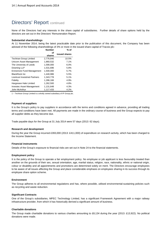# **Directors' Report continued**

None of the Directors had any interests in the share capital of subsidiaries. Further details of share options held by the directors are set out in the Directors' Remuneration Report.

#### **Substantial shareholdings**

At 11 November 2014, being the latest practicable date prior to the publication of this document, the Company has been advised of the following shareholdings of 3% or more in the issued share capital of Tracsis plc:

|                                     | <b>Number</b> | % of          |
|-------------------------------------|---------------|---------------|
|                                     | οf<br>shares  | issued shares |
| <b>Techtran Group Limited</b>       | 2,776,846     | 10.5%         |
| Unicorn Asset Management            | 1,860,532     | 7.1%          |
| The University of Leeds             | 1,590,000     | 6.0%          |
| Downing LLP                         | 1,531,696     | 5.8%          |
| <b>Ennismore Fund Management</b>    | 1,500,000     | 5.7%          |
| BlackRock Inc.                      | 1,440,986     | 5.5%          |
| <b>Liontrust Investmet Partners</b> | 1,343,778     | 5.1%          |
| Fidelity                            | 1,286,166     | 4.9%          |
| Hargreave Hale Limited              | 1,262,500     | 4.8%          |
| Investec Asset Management           | 1,131,648     | 4.3%          |
| John McArthur                       | 1,117,433     | 4.2%          |

1 – Techtran Group Limited is a wholly owned subsidiary of IP Group plc.

#### **Payment of suppliers**

It is the Group's policy to pay suppliers in accordance with the terms and conditions agreed in advance, providing all trading terms and conditions have been met. All payments are made in the ordinary course of business and the Group expects to pay all supplier debts as they become due.

Trade payable days for the Group at 31 July 2014 were 57 days (2013: 62 days).

#### **Research and development**

During the year the Group incurred £393,000 (2013: £411,000) of expenditure on research activity, which has been charged to the Income Statement.

#### **Financial instruments**

Details of the Group's exposure to financial risks are set out in Note 24 to the financial statements.

#### **Employment policy**

It is the policy of the Group to operate a fair employment policy. No employee or job applicant is less favourably treated than another on the grounds of their sex, sexual orientation, age, marital status, religion, race, nationality, ethnic or national origin, colour or disability and all appointments and promotions are determined solely on merit. The Directors encourage employees to be aware of all issues affecting the Group and place considerable emphasis on employees sharing in its success through its employee share option scheme.

#### **Environment**

The Group adheres to all environmental regulations and has, where possible, utilised environmental-sustaining policies such as recycling and waste reduction.

#### **Significant Contracts**

One of the Group's subsidiaries, MPEC Technology Limited, has a significant Framework Agreement with a major railway infrastructure provider, from which it has historically derived a significant amount of business.

#### **Charitable donations**

The Group made charitable donations to various charities amounting to £8,134 during the year (2013: £13,922). No political donations were made.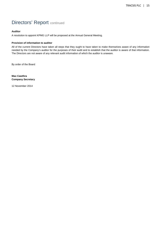# Directors' Report continued

### **Auditor**

A resolution to appoint KPMG LLP will be proposed at the Annual General Meeting.

#### **Provision of information to auditor**

All of the current Directors have taken all steps that they ought to have taken to make themselves aware of any information needed by the Company's auditor for the purposes of their audit and to establish that the auditor is aware of that information. The Directors are not aware of any relevant audit information of which the auditor is unaware.

By order of the Board

**Max Cawthra Company Secretary** 

12 November 2014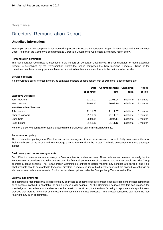Governance

# Directors' Remuneration Report

### **Unaudited information:**

Tracsis plc, as an AIM company, is not required to present a Directors Remuneration Report in accordance with the Combined Code. As part of the Company's commitment to Corporate Governance, we present a voluntary report below.

#### **Remuneration committee**

The Remuneration Committee is described in the Report on Corporate Governance. The remuneration for each Executive Director is determined by the Remuneration Committee, which comprises the Non-Executive Directors. None of the committee members has any personal financial interest, other than as shareholders, in the matters to be decided.

### **Service contracts**

It is the Group's policy to enter into service contracts or letters of appointment with all Directors. Specific terms are:

|                                | <b>Date</b> | <b>Commencement</b> | <b>Unexpired</b> | <b>Notice</b> |
|--------------------------------|-------------|---------------------|------------------|---------------|
|                                | of contract | date                | term             | period        |
| <b>Executive Directors</b>     |             |                     |                  |               |
| John McArthur                  | 21.11.07    | 01.01.04            | Indefinite       | 6 months      |
| Max Cawthra                    | 20.09.10    | 20.09.10            | Indefinite       | 3 months      |
| <b>Non-Executive Directors</b> |             |                     |                  |               |
| John Nelson                    | 21.11.07    | 21.11.07            | Indefinite       | 3 months      |
| <b>Charles Winward</b>         | 21.11.07    | 21.11.07            | Indefinite       | 3 months      |
| Chris Cole                     | 28.04.14    | 28.04.14            | Indefinite       | 3 months      |
| Sean Lippell                   | 01.11.13    | 01.11.13            | Indefinite       | 3 months      |

None of the service contracts or letters of appointment provide for any termination payments.

#### **Remuneration policy**

The remuneration packages for Directors and senior management have been structured so as to fairly compensate them for their contribution to the Group and to encourage them to remain within the Group. The basic components of these packages include:

#### **Basic salary and bonus arrangements**

Each Director receives an annual salary or Directors' fee for his/her services. These salaries are reviewed annually by the Remuneration Committee and take into account the financial performance of the Group and market conditions. The Group operates a bonus scheme. The Remuneration Committee is entitled to decide whether any bonuses are payable, and if so, what amounts should be granted to Executive Directors. Directors, in line with all members of staff are entitled to exchange an element of any cash bonus awarded for discounted share options under the Group's Long Term Incentive Plan.

#### **External appointments**

The committee recognises that its directors may be invited to become executive or non-executive directors of other companies or to become involved in charitable or public service organisations. As the Committee believes that this can broaden the knowledge and experience of the directors to the benefit of the Group, it is the Group's policy to approve such appointments provided that there is no conflict of interest and the commitment is not excessive. The director concerned can retain the fees relating to any such appointment.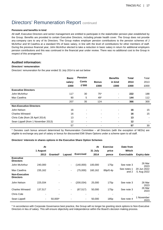# **Directors' Remuneration Report continued**

#### **Pensions and benefits in kind**

All staff, Executive Directors and senior management are entitled to participate in the stakeholder pension plan established by the Group. Benefits are provided to certain Executive Directors, including private health cover. The Group does not provide any company cars to any of its Directors. The Group makes employer pension contributions to the pension schemes of J McArthur and M Cawthra at a standard 5% of basic salary, in line with the level of contributions for other members of staff. During the previous financial year, John McArthur elected to take a reduction in basic salary in return for additional employers pension contributions and this was continued in the financial year under review. There was no additional cost to the Group in respect of this arrangement.

### **Audited information:**

#### **Directors' remuneration**

Directors' remuneration for the year ended 31 July 2014 is set out below

|                                     | <b>Basic</b> | <b>Pension</b>           |                          | <b>Benefits</b>          | <b>Total</b> | Total |
|-------------------------------------|--------------|--------------------------|--------------------------|--------------------------|--------------|-------|
|                                     | salary       | Conts                    | <b>Bonus</b>             | in kind                  | 2014         | 2013  |
|                                     | £000         | £'000                    | £000                     | £000                     | £000         | £000  |
| <b>Executive Directors</b>          |              |                          |                          |                          |              |       |
| John McArthur                       | 117          | 30                       | $75*$                    | $\overline{\phantom{0}}$ | 222          | 188   |
| Max Cawthra                         | 90           | 5                        | $49*$                    |                          | 144          | 112   |
|                                     | 207          | 35                       | 124                      |                          | 366          | 300   |
| <b>Non-Executive Directors</b>      |              |                          |                          |                          |              |       |
| John Nelson                         | 16           | $\overline{\phantom{a}}$ | ٠                        | $\overline{\phantom{0}}$ | 16           | 15    |
| <b>Charles Winward</b>              | 16           | ٠                        | $\overline{\phantom{0}}$ |                          | 16           | 15    |
| Chris Cole (from 28 April 2014)     | 13           | ۰                        | $\overline{\phantom{a}}$ | $\overline{\phantom{0}}$ | 13           | ٠     |
| Sean Lippell (from 1 November 2013) | 12           | ۰                        | $\overline{\phantom{a}}$ |                          | $12 \,$      |       |
|                                     | 57           | ۰                        | ٠                        |                          | 57           | 30    |

Denotes cash bonus amount determined by Remuneration Committee – all Directors (with the exception of NEDs) are eligible to exchange any part of salary or bonus for discounted EMI Share Options under a scheme open to all staff.

#### **Directors' interests in shares options in the Executive Share Option Schemes**

|                                          | At<br>1 August |          |                          |                  | At<br>31 July | <b>Exercise</b><br>price | Date from<br>Which   |                            |
|------------------------------------------|----------------|----------|--------------------------|------------------|---------------|--------------------------|----------------------|----------------------------|
|                                          | 2013           | Granted* | Lapsed                   | <b>Exercised</b> | 2014          | pence                    | <b>Exercisable</b>   | <b>Expiry date</b>         |
| <b>Executive</b><br><b>Directors</b>     |                |          |                          |                  |               |                          |                      |                            |
| John McArthur                            | 240,000        |          | $\blacksquare$           | (140,000)        | 100,000       | 175p                     | See note 3           | 26 Mar<br>2023             |
| Max Cawthra                              | 235,162        |          | ٠                        | (75,000)         | 160,162       | 89p/0.4p                 | See notes 1<br>and 2 | 20 Jun 2022<br>/1 Aug 2022 |
| <b>Non-Executive</b><br><b>Directors</b> |                |          |                          |                  |               |                          |                      |                            |
| John Nelson                              | 225,034        |          | $\overline{\phantom{a}}$ | (200, 034)       | 25,000        | 175 <sub>p</sub>         | See note 3           | 26 Mar<br>2023             |
| <b>Charles Winward</b>                   | 137,517        |          |                          | (87, 517)        | 50,000        | 175p                     | See note 3           | 26 Mar<br>2023             |
| <b>Chris Cole</b>                        |                |          | ۰                        |                  |               |                          |                      |                            |
| Sean Lippell                             | ٠              | 50,000*  | ٠                        | ۰                | 50,000        | 185 <sub>p</sub>         | See note 4           | 1 November<br>2023         |

\* In accordance with Corporate Governance best practice, the Group will no longer be granting stock options to Non-Executive Directors in lieu of salary. This will ensure objectivity and independence within the Board's decision making process.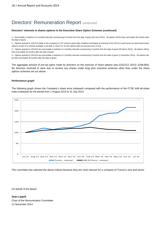# **Directors' Remuneration Report continued**

#### **Directors' interests in shares options in the Executive Share Option Schemes (continued)**

1 – Exercisable in batches in 6 monthly intervals commencing 6 months from the date of grant (20 June 2012). All options will be fully exercisable 36 months after the date of grant.

2 – Options granted in 2012/13 relate to the Company's LTIP scheme where Max Cawthra exchanged an element of his 2011/12 cash bonus for discounted share options as part of a scheme available to all staff, in return for 10,162 options with an exercise price of 0.4p

3 – Options granted in 2012/13 are exercisable in batches in 3 monthly intervals commencing 3 months from the date of grant (26 March 2013). All options will be fully exercisable 24 months after the date of grant.

4 – Options granted in 2013/14 are exercisable in batches in 3 monthly intervals commencing 3 months from the date of grant (1 November 2013). All options will be fully exercisable 36 months after the date of grant.

The aggregate amount of pre-tax gains made by directors on the exercise of share options was £220,512 (2013: £296,683). No directors received or were due to receive any shares under long term incentive schemes other than under the share options schemes set out above.

#### **Performance graph**

The following graph shows the Company's share price (rebased) compared with the performance of the FTSE AIM all-share index (rebased) for the period from 1 August 2013 to 31 July 2014.



The committee has selected the above indices because they are most relevant for a company of Tracsis's size and sector.

On behalf of the Board

**Sean Lippell**  Chair of the Remuneration Committee 12 November 2014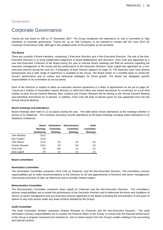### Governance

# Corporate Governance

Tracsis plc was listed on AIM on 27 November 2007. The Group recognises the importance of, and is committed to, high standards of corporate governance. Tracsis plc, as an AIM Company, is not required to comply with the June 2010 UK Corporate Governance Code, although it has adopted some of the principles as set out below.

### **The Board**

There are currently 6 Board members, comprising 2 Executive Directors and 4 Non-Executive Directors. The role of the Non-Executive Directors is to bring independent judgement to Board deliberations and decisions. Chris Cole was appointed as a new Non-Executive Chairman of the Board during the year to oversee Board meetings and field all concerns regarding the executive management of the Group and the performance of the Executive Directors. Sean Lippell was appointed as a nonexecutive Director during the year too. A biography of each Director appears on page 12. The Directors each have diverse backgrounds and a wide range of experience is available to the Group. The Board meets on a monthly basis to review the Group's performance and to review and determine strategies for future growth. The Board has delegated specific responsibilities to its committees as set out below.

Each of the Directors is subject to either an executive services agreement or a letter of appointment as set out on page 16. Tracsis plc's Articles of Association require directors to retire from office and submit themselves for re-election on a one third rotation at each Annual General Meeting. Max Cawthra and Charles Winward will be retiring at the Annual General Meeting and submitting themselves for re-election. In addition, Chris Cole will seek re-election given he was appointed since the last Annual General Meeting.

#### **Board meetings and attendance**

Board meetings were held on 12 occasions during the year. The table below shows attendance at the meetings whether in person or by telephone. The Company Secretary records attendance at all board meetings including where attendance is by telephone conference.

|                        | <b>Board</b>    | <b>Nomination</b>        | Remuneration    | Audit            |
|------------------------|-----------------|--------------------------|-----------------|------------------|
|                        | <b>Meetings</b> | <b>Committee</b>         | Committee       | <b>Committee</b> |
|                        | (total/poss)    | <b>Meetings</b>          | <b>Meetings</b> | <b>Meetings</b>  |
| John McArthur          | 12/12           | $\overline{\phantom{0}}$ |                 |                  |
| Max Cawthra            | 12/12           | -                        |                 |                  |
| John Nelson            | 11/12           | 2/2                      | 2/2             | 2/2              |
| <b>Charles Winward</b> | 10/12           | 2/2                      | 2/2             | 2/2              |
| Chris Cole             | 3/3             | N/A                      | 1/1             | 1/1              |
| Sean Lippell           | 7/9             | 1/1                      | 1/1             | 1/1              |

#### **Board committees**

#### **Nomination Committee**

The Nomination Committee comprises Chris Cole as Chairman, and the Non-Executive Directors. The committee's primary responsibilities are to make recommendations to the Directors on all new appointments of Directors and senior management, interviewing nominees, to take up references and to consider related matters.

#### **Remuneration Committee**

The Remuneration Committee comprises Sean Lippell as Chairman and the Non-Executive Directors. The committee's primary responsibilities are to review the performance of the Executive Directors and to determine the terms and conditions of service of senior management and any Executive Director appointed to the Board (including the remuneration of and grant of options to any such person under any share scheme adopted by the Group).

#### **Audit Committee**

The Audit Committee similarly comprises Charles Winward as Chairman and the Non-Executive Directors. The audit committee's primary responsibilities are to monitor the financial affairs of the Group, to ensure that the financial performance of the Group is properly measured and reported on, and to review reports from the Group's auditor relating to the accounting and internal controls.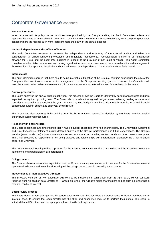# **Corporate Governance continued**

#### **Non audit services**

In accordance with its policy on non audit services provided by the Group's auditor, the Audit Committee reviews and approves the award of any such work. The Audit Committee refers to the Board for approval of any work comprising non audit services where the fees for such work represent more than 25% of the annual audit fee.

#### **Auditor independence and conflicts of interest**

The Audit Committee continues to evaluate the independence and objectivity of the external auditor and takes into consideration all United Kingdom professional and regulatory requirements. Consideration is given to all relationships between the Group and the audit firm (including in respect of the provision of non audit services). The Audit Committee considers whether, taken as a whole, and having regard to the views, as appropriate, of the external auditor and management, those relationships appear to impair the auditor's judgement or independence. The Audit Committee feels they do not.

#### **Internal audit**

The Audit Committee agrees that there should be no internal audit function of the Group at this time considering the size of the Group and the close involvement of senior management over the Group's accounting systems. However, the Committee will keep this matter under review in the event that circumstances warrant an internal function for the Group in the future.

#### **Control procedures**

The Board approves the annual budget each year. This process allows the Board to identify key performance targets and risks expected during the upcoming year. The Board also considers the agreed budget when reviewing trading updates and considering expenditures throughout the year. Progress against budget is monitored via monthly reporting of actual financial performance against budget and prior year actual results.

The Group has clear authority limits deriving from the list of matters reserved for decision by the Board including capital expenditure approval procedures.

#### **Relations with shareholders**

The Board recognises and understands that it has a fiduciary responsibility to the shareholders. The Chairman's Statement and Chief Executive's Statement include detailed analysis of the Group's performance and future expectations. The Group's website (www.tracsis.com) allows shareholders access to information, including contact details and the current share price. The Chief Executive is responsible for on-going dialogue and relationships with shareholders, alongside the Chief Financial officer and Chairman.

The Annual General Meeting will be a platform for the Board to communicate with shareholders and the Board welcomes the attendance and participation of all shareholders.

#### **Going concern**

The Directors have a reasonable expectation that the Group has adequate resources to continue for the foreseeable future in operational existence and have therefore adopted the going concern basis in preparing the accounts.

#### **Independence of Non-Executive Directors**

The Directors consider all Non-Executive Directors to be independent. With effect from 23 April 2014, Mr CS Winward resigned from his position as a Director of IP Group plc, one of the Group's major shareholders and as such no longer has a potential conflict of interest.

#### **Board review process**

The Board does not formally appraise its performance each year, but considers the performance of Board members on an informal basis, to ensure that each director has the skills and experience required to perform their duties. The Board is satisfied that all Directors have the appropriate level of skills and experience.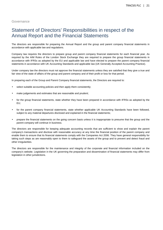### Governance

# Statement of Directors' Responsibilities in respect of the Annual Report and the Financial Statements

The directors are responsible for preparing the Annual Report and the group and parent company financial statements in accordance with applicable law and regulations.

Company law requires the directors to prepare group and parent company financial statements for each financial year. As required by the AIM Rules of the London Stock Exchange they are required to prepare the group financial statements in accordance with IFRSs as adopted by the EU and applicable law and have elected to prepare the parent company financial statements in accordance with UK Accounting Standards and applicable law (UK Generally Accepted Accounting Practice).

Under company law the directors must not approve the financial statements unless they are satisfied that they give a true and fair view of the state of affairs of the group and parent company and of their profit or loss for that period.

In preparing each of the Group and Parent Company financial statements, the Directors are required to:

- select suitable accounting policies and then apply them consistently;
- make judgements and estimates that are reasonable and prudent;
- for the group financial statements, state whether they have been prepared in accordance with IFRSs as adopted by the EU;
- for the parent company financial statements, state whether applicable UK Accounting Standards have been followed, subject to any material departures disclosed and explained in the financial statements;
- prepare the financial statements on the going concern basis unless it is inappropriate to presume that the group and the parent company will continue in business.

The directors are responsible for keeping adequate accounting records that are sufficient to show and explain the parent company's transactions and disclose with reasonable accuracy at any time the financial position of the parent company and enable them to ensure that its financial statements comply with the Companies Act 2006. They have general responsibility for taking such steps as are reasonably open to them to safeguard the assets of the group and to prevent and detect fraud and other irregularities.

The directors are responsible for the maintenance and integrity of the corporate and financial information included on the company's website. Legislation in the UK governing the preparation and dissemination of financial statements may differ from legislation in other jurisdictions.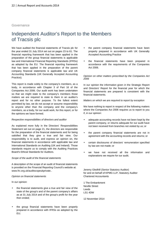### Governance

# Independent Auditor's Report to the Members of Tracsis plc

We have audited the financial statements of Tracsis plc for the year ended 31 July 2014 set out on pages 23 to 61. The financial reporting framework that has been applied in the preparation of the group financial statements is applicable law and International Financial Reporting Standards (IFRSs) as adopted by the EU. The financial reporting framework that has been applied in the preparation of the parent company financial statements is applicable law and UK Accounting Standards (UK Generally Accepted Accounting Practice).

This report is made solely to the company's members, as a body, in accordance with Chapter 3 of Part 16 of the Companies Act 2006. Our audit work has been undertaken so that we might state to the company's members those matters we are required to state to them in an auditor's report and for no other purpose. To the fullest extent permitted by law, we do not accept or assume responsibility to anyone other than the company and the company's members, as a body, for our audit work, for this report, or for the opinions we have formed.

#### Respective responsibilities of directors and auditor

As explained more fully in the Directors' Responsibilities Statement set out on page 21, the directors are responsible for the preparation of the financial statements and for being satisfied that they give a true and fair view. Our responsibility is to audit, and express an opinion on, the financial statements in accordance with applicable law and International Standards on Auditing (UK and Ireland). Those standards require us to comply with the Auditing Practices Board's Ethical Standards for Auditors.

#### Scope of the audit of the financial statements

A description of the scope of an audit of financial statements is provided on the Financial Reporting Council's website at: www.frc.org.uk/auditscopeukprivate..

#### Opinion on financial statements

In our opinion:

- the financial statements give a true and fair view of the state of the group's and of the parent company's affairs as at 31 July 2014 and of the group's profit for the year then ended;
- the group financial statements have been properly prepared in accordance with IFRSs as adopted by the EU;
- the parent company financial statements have been properly prepared in accordance with UK Generally Accepted Accounting Practice
- the financial statements have been prepared in accordance with the requirements of the Companies Act 2006.

Opinion on other matters prescribed by the Companies Act 2006

In our opinion the information given in the Strategic Report and Directors' Report for the financial year for which the financial statements are prepared is consistent with the financial statements.

Matters on which we are required to report by exception

We have nothing to report in respect of the following matters where the Companies Act 2006 requires us to report to you if, in our opinion:

- adequate accounting records have not been kept by the parent company, or returns adequate for our audit have not been received from branches not visited by us; or
- the parent company financial statements are not in agreement with the accounting records and returns; or
- certain disclosures of directors' remuneration specified by law are not made; or
- we have not received all the information and explanations we require for our audit.

Jeremy Gledhill (Senior Statutory Auditor) for and on behalf of KPMG LLP, Statutory Auditor Chartered Accountants

1 The Embankment Neville Street Leeds LS1 4DW

12 November 2014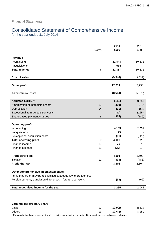Financial Statements

l,

# Consolidated Statement of Comprehensive Income for the year ended 31 July 2014

|                                                                      |              | 2014     | 2013    |
|----------------------------------------------------------------------|--------------|----------|---------|
|                                                                      | <b>Notes</b> | £000     | £000    |
|                                                                      |              |          |         |
| <b>Revenue</b>                                                       |              |          |         |
| - continuing                                                         |              | 21,843   | 10,831  |
| - acquisitions                                                       |              | 514      |         |
| <b>Total revenue</b>                                                 | 6            | 22,357   | 10,831  |
| <b>Cost of sales</b>                                                 |              | (9, 546) | (3,033) |
| <b>Gross profit</b>                                                  |              | 12,811   | 7,798   |
| Administrative costs                                                 |              | (8,614)  | (5,272) |
| <b>Adjusted EBITDA*</b>                                              |              | 5,434    | 3,367   |
| Amortisation of intangible assets                                    | 15           | (460)    | (273)   |
| Depreciation                                                         | 14           | (431)    | (154)   |
| Exceptional item: Acquisition costs                                  |              | (31)     | (225)   |
| Share-based payment charges                                          | 8            | (315)    | (189)   |
|                                                                      |              |          |         |
| <b>Operating profit</b>                                              |              |          |         |
| - continuing                                                         |              | 4,153    | 2,751   |
| - acquisitions                                                       |              | 75       |         |
| - exceptional acquisition costs                                      |              | (31)     | (225)   |
| <b>Total operating profit</b>                                        | 9            | 4,197    | 2,526   |
| Finance income                                                       | 10           | 36       | 75      |
| Finance expense                                                      | 11           | (32)     | (11)    |
| Profit before tax                                                    |              | 4,201    | 2,590   |
| <b>Taxation</b>                                                      | 12           | (898)    | (486)   |
| <b>Profit after tax</b>                                              |              | 3,303    | 2,104   |
| Other comprehensive income/(expense):                                |              |          |         |
| Items that are or may be reclassified subsequently to profit or loss |              |          |         |
| Foreign currency translation differences - foreign operations        |              | (38)     | (62)    |
| Total recognised income for the year                                 |              | 3,265    | 2,042   |
|                                                                      |              |          |         |
| Earnings per ordinary share                                          |              |          |         |
| <b>Basic</b>                                                         | 13           | 12.90p   | 8.42p   |
| <b>Diluted</b>                                                       | 13           | 12.44p   | 8.15p   |

\* Earnings before finance income, tax, depreciation, amortisation, exceptional items and share-based payment charges.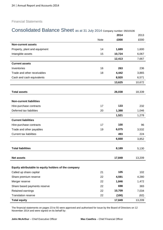## Financial Statements

# Consolidated Balance Sheet as at 31 July 2014 Company number: 05019106

|                                                      |      | 2014   | 2013   |
|------------------------------------------------------|------|--------|--------|
|                                                      | Note | £000   | £000   |
| <b>Non-current assets</b>                            |      |        |        |
| Property, plant and equipment                        | 14   | 1,689  | 1,600  |
| Intangible assets                                    | 15   | 10,724 | 6,067  |
|                                                      |      | 12,413 | 7,667  |
| <b>Current assets</b>                                |      |        |        |
| Inventories                                          | 16   | 263    | 236    |
| Trade and other receivables                          | 18   | 4,442  | 3,865  |
| Cash and cash equivalents                            |      | 8,920  | 6,571  |
|                                                      |      | 13,625 | 10,672 |
| <b>Total assets</b>                                  |      | 26,038 | 18,339 |
|                                                      |      |        |        |
| <b>Non-current liabilities</b>                       |      |        |        |
| Hire-purchase contracts                              | 17   | 133    | 232    |
| Deferred tax liabilities                             | 20   | 1,388  | 1,046  |
|                                                      |      | 1,521  | 1,278  |
| <b>Current liabilities</b>                           |      |        |        |
| Hire-purchase contracts                              | 17   | 100    | 96     |
| Trade and other payables                             | 19   | 6,075  | 3,532  |
| <b>Current tax liabilities</b>                       |      | 493    | 224    |
|                                                      |      | 6,668  | 3,852  |
|                                                      |      |        |        |
| <b>Total liabilities</b>                             |      | 8,189  | 5,130  |
| <b>Net assets</b>                                    |      | 17,849 | 13,209 |
|                                                      |      |        |        |
| Equity attributable to equity holders of the company |      |        |        |
| Called up share capital                              | 21   | 105    | 102    |
| Share premium reserve                                | 22   | 4,591  | 4,280  |
| Merger reserve                                       | 22   | 1,846  | 1,472  |
| Share based payments reserve                         | 22   | 698    | 383    |
| Retained earnings                                    | 22   | 10,709 | 7,034  |
| Translation reserve                                  | 22   | (100)  | (62)   |
| <b>Total equity</b>                                  |      | 17,849 | 13,209 |

The financial statements on pages 23 to 55 were approved and authorised for issue by the Board of Directors on 12 November 2014 and were signed on its behalf by: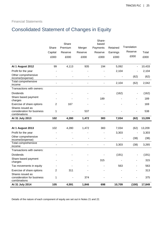# Consolidated Statement of Changes in Equity

|                                                                |                | Share   |         | Share-<br>based |                          |             |        |
|----------------------------------------------------------------|----------------|---------|---------|-----------------|--------------------------|-------------|--------|
|                                                                | Share          | Premium | Merger  | Payments        | Retained                 | Translation |        |
|                                                                | Capital        | Reserve | Reserve | Reserve         | Earnings                 | Reserve     | Total  |
|                                                                | £000           | £000    | £000    | £000            | £000                     | £000        | £000   |
|                                                                |                |         |         |                 |                          |             |        |
| At 1 August 2012                                               | 99             | 4,113   | 935     | 194             | 5,092                    |             | 10,433 |
| Profit for the year                                            |                |         |         |                 | 2,104                    |             | 2,104  |
| Other comprehensive<br>income/(expense)                        |                |         |         | $\blacksquare$  | $\overline{\phantom{a}}$ | (62)        | (62)   |
| Total comprehensive<br>income                                  |                |         |         |                 | 2,104                    | (62)        | 2,042  |
| Transactions with owners:                                      |                |         |         |                 |                          |             |        |
| <b>Dividends</b>                                               |                |         |         |                 | (162)                    | ٠           | (162)  |
| Share based payment<br>charges                                 |                |         | ۰       | 189             |                          | Ξ.          | 189    |
| Exercise of share options                                      | $\overline{2}$ | 167     |         |                 |                          |             | 169    |
| Shares issued as<br>consideration for business<br>combinations | 1              |         | 537     |                 |                          |             | 538    |
| At 31 July 2013                                                | 102            | 4,280   | 1,472   | 383             | 7,034                    | (62)        | 13,209 |
|                                                                |                |         |         |                 |                          |             |        |
| At 1 August 2013                                               | 102            | 4,280   | 1,472   | 383             | 7,034                    | (62)        | 13,209 |
| Profit for the year                                            |                |         |         |                 | 3,303                    |             | 3,303  |
| Other comprehensive<br>income/(expense)                        |                |         |         |                 | ÷,                       | (38)        | (38)   |
| Total comprehensive<br>income                                  |                |         |         |                 | 3,303                    | (38)        | 3,265  |
| Transactions with owners:                                      |                |         |         |                 |                          |             |        |
| <b>Dividends</b>                                               |                |         |         |                 | (191)                    |             | (191)  |
| Share based payment<br>charges                                 |                |         |         | 315             |                          |             | 315    |
| Tax movements in equity                                        |                |         |         |                 | 563                      |             | 563    |
| Exercise of share options                                      | $\overline{2}$ | 311     |         |                 |                          |             | 313    |
| Shares issued as<br>consideration for business<br>combinations | $\mathbf 1$    |         | 374     |                 |                          |             | 375    |
| At 31 July 2014                                                | 105            | 4,591   | 1,846   | 698             | 10,709                   | (100)       | 17,849 |

Details of the nature of each component of equity are set out in Notes 21 and 22.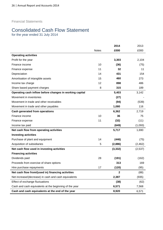Financial Statements

# Consolidated Cash Flow Statement

for the year ended 31 July 2014

|                                                         |              | 2014        | 2013     |
|---------------------------------------------------------|--------------|-------------|----------|
|                                                         | <b>Notes</b> | £000        | £000     |
| <b>Operating activities</b>                             |              |             |          |
| Profit for the year                                     |              | 3,303       | 2,104    |
| Finance income                                          | 10           | (36)        | (75)     |
| Finance expense                                         | 11           | 32          | 11       |
| Depreciation                                            | 14           | 431         | 154      |
| Amortisation of intangible assets                       | 15           | 460         | 273      |
| Income tax charge                                       | 12           | 898         | 486      |
| Share based payment charges                             | 8            | 315         | 189      |
| Operating cash inflow before changes in working capital |              | 5,403       | 3,142    |
| Movement in inventories                                 |              | (27)        |          |
| Movement in trade and other receivables                 |              | (94)        | (539)    |
| Movement in trade and other payables                    |              | 1,080       | 116      |
| <b>Cash generated from operations</b>                   |              | 6,362       | 2,719    |
| Finance income                                          | 10           | 36          | 75       |
| Finance expense                                         | 11           | (32)        | (11)     |
| Income tax paid                                         |              | (649)       | (1,093)  |
| Net cash flow from operating activities                 |              | 5,717       | 1,690    |
| <b>Investing activities</b>                             |              |             |          |
| Purchase of plant and equipment                         | 14           | (446)       | (75)     |
| Acquisition of subsidiaries                             | 5            | (2,886)     | (2, 462) |
| Net cash flow used in investing activities              |              | (3, 332)    | (2,537)  |
| <b>Financing activities</b>                             |              |             |          |
| Dividends paid                                          | 28           | (191)       | (162)    |
| Proceeds from exercise of share options                 |              | 313         | 169      |
| Hire purchase repayments                                | 17           | (120)       | (95)     |
| Net cash flow from/(used in) financing activities       |              | $\mathbf 2$ | (88)     |
| Net increase/(decrease) in cash and cash equivalents    |              | 2,387       | (935)    |
| Effect of exchange fluctuations                         |              | (38)        | (62)     |
| Cash and cash equivalents at the beginning of the year  |              | 6,571       | 7,568    |
| Cash and cash equivalents at the end of the year        |              | 8,920       | 6,571    |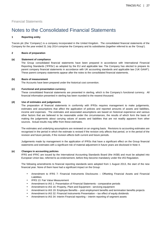Financial Statements

# Notes to the Consolidated Financial Statements

### **1 Reporting entity**

Tracsis plc (the 'Company') is a company incorporated in the United Kingdom. The consolidated financial statements of the Company for the year ended 31 July 2014 comprise the Company and its subsidiaries (together referred to as the 'Group').

#### **2 Basis of preparation**

#### **(a) Statement of compliance**

The Group consolidated financial statements have been prepared in accordance with International Financial Reporting Standards ('IFRSs') as adopted by the EU and applicable law. The Company has elected to prepare its parent company financial statements in accordance with UK accounting standards and applicable law ('UK GAAP'). These parent company statements appear after the notes to the consolidated financial statements.

#### **(b) Basis of measurement**

The Accounts have been prepared under the historical cost convention.

#### **(c) Functional and presentation currency**

These consolidated financial statements are presented in sterling, which is the Company's functional currency. All financial information presented in sterling has been rounded to the nearest thousand.

#### **(d) Use of estimates and judgements**

The preparation of financial statements in conformity with IFRSs requires management to make judgements, estimates and assumptions that affect the application of policies and reported amounts of assets and liabilities, income and expenses. The estimates and associated assumptions are based on historical experience and various other factors that are believed to be reasonable under the circumstances, the results of which form the basis of making the judgements about carrying values of assets and liabilities that are not readily apparent from other sources. Actual results may differ from these estimates.

The estimates and underlying assumptions are reviewed on an ongoing basis. Revisions to accounting estimates are recognised in the period in which the estimate is revised if the revision only affects that period, or in the period of the revision and future periods, if the revision affects both current and future periods.

Judgements made by management in the application of IFRSs that have a significant effect on the Group financial statements and estimates with a significant risk of material adjustment in future years are disclosed in Note 4.

### **(e) Changes in accounting policies**

IFRS and IFRIC are issued by the International Accounting Standards Board (the IASB) and must be adopted into European Union law, referred to as endorsement, before they become mandatory under the IAS Regulation.

The following amendments to financial reporting standards were adopted from 1 August 2013, the start of the new financial year. None of them have had a significant impact on the Group:

- Amendment to IFRS 7: Financial Instruments Disclosures Offsetting Financial Assets and Financial Liabilities
- IFRS 13: Fair Value Measurement
- Amendment to IAS 1: Presentation of Financial Statements comparative periods
- Amendment to IAS 16: Property, Plant and Equipment servicing equipment
- Amendment to IAS 19: Employee Benefits post employment benefits and termination benefits projects
- Amendment to IAS 32: Financial Instruments Presentation tax effect of equity dividends
- Amendment to IAS 34: Interim Financial reporting interim reporting of segment assets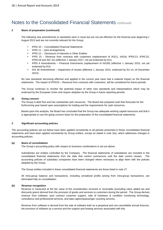### **2 Basis of preparation (continued)**

The following new amendments to standards were in issue but are not yet effective for the financial year beginning 1 August 2013 and are not currently relevant for the Group:

- IFRS 10 Consolidated Financial Statements
- IFRS 11 Joint arrangements
- IFRS 12 Disclosure of Interests in Other Entities
- IFRS 15 Revenue from contracts with customers (replacement of IAS11, IAS18, IFRIC13, IFRIC15, IFRIC18 and SIC-31) (effective 1 January 2017, not yet endorsed by EU).
- IFRS 9 Amendments Financial Instruments (replacement of IAS39) (effective 1 January 2015, not yet endorsed by EU).
- IAS 36 Amendments Impairment of Assets (effective 1 January 2014, endorsed by EU on 19 December 2013).

No new standards becoming effective and applied in the current year have had a material impact on the financial statements. The impact of IFRS15 – Revenue from contracts with customers, will be considered for future periods.

The Group continues to monitor the potential impact of other new standards and interpretations which may be endorsed by the European Union and require adoption by the Group in future reporting periods.

#### **(f) Going concern**

The Group is debt free and has substantial cash resources. The Board has prepared cash flow forecasts for the forthcoming year based upon assumptions for trading and the requirements for cash resources.

Based upon this analysis, the Board has concluded that the Group has adequate working capital resources and that it is appropriate to use the going concern basis for the preparation of the consolidated financial statements.

### **3 Significant accounting policies**

The accounting policies set out below have been applied consistently to all periods presented in these consolidated financial statements and have been applied consistently by Group entities, except as stated in note 2(e), which addresses changes in accounting policies.

### **(a) Basis of consolidation**

The Group's accounting policy with respect to business combinations is set out above.

Subsidiaries are entities controlled by the Company. The financial statements of subsidiaries are included in the consolidated financial statements from the date that control commences until the date control ceases. The accounting policies of subsidiary companies have been changed where necessary to align them with the policies adopted by the Group.

The Group entities included in these consolidated financial statements are those listed in note 27.

All intra-group balance and transactions, including unrealised profits arising from intra-group transactions, are eliminated fully on consolidation.

#### **(b) Revenue recognition**

Revenue is measured at the fair value of the consideration received or receivable (excluding value added tax and discounts given) derived from the provision of goods and services to customers during the period. The Group derives revenue from software, post contract customer support, sale of hardware & condition monitoring technology, consultancy and professional services, and data capture/passenger counting services.

Revenue from software is derived from the sale of software both as a perpetual and non-cancellable annual licences, the provision of software as a service and the support and hosting services associated with this.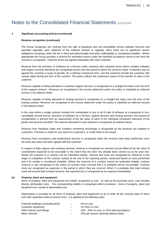#### **3 Significant accounting policies (continued)**

#### **Revenue recognition (continued)**

The Group recognises the revenue from the sale of perpetual and non-cancellable annual software licences and specified upgrades upon shipment of the software product or upgrade, when there are no significant vendor obligations remaining, when the fee is fixed and determinable and when collectability is considered probable. Where appropriate the Group provides a reserve for estimated returns under the standard acceptance terms at the time the revenue is recognised. Payment terms are agreed separately with each customer.

Revenue from the provision of Software as a Service under contracts with extended terms which combine software and support services elements are recognised evenly over the period to which the services relate. Customers pay an agreed fee covering a range of periods, for a defined contractual term, and the contracts provide the customer with various rights during the term of the contract. This policy reflects the continuous nature of the transfer of value to the customer.

Revenue capable of being allocated to customer support services is recognised on a straight-line basis over the term of the support contract. Revenue not recognised in the income statement under this policy is classified as deferred income in the balance sheet.

Revenue capable of being allocated to hosting services is recognised on a straight line basis over the term of the hosting contract. Revenue not recognised in the income statement under this policy is classified as deferred income in the balance sheet.

In the case where a single contract involves the combination of any or all of sale of software as a perpetual or noncancellable annual licence, provision of Software as a Service, support services and hosting services, the amount of consideration is derived from an assessment of the fair value of each of the individual constituent elements of the goods and services provided. The revenue allocated to each element is recognised as outlined above.

Revenue from hardware sales and condition monitoring technology is recognised as the products are shipped to customers. Provision is made for any returns to customers, or credit notes to be issued.

Revenue from consultancy and professional services is recognised when the services have been performed, once the work and value has been agreed with the customer.

In respect of data capture and counting services, revenue is recognised on services not yet billed at the fair value of consideration expected to be receivable to the extent that the work has already been carried out at the year end. Where the outcome of a contract can be estimated reliably, revenue and costs are recognised by reference to the stage of completion of the contract activity at the end of the reporting period, measured based on work performed and if its receipt is considered probable. Where the outcome of a contract cannot be estimated reliably, contract revenue is only recognised to the extent of contract costs incurred that it is probable will be recoverable. Contract costs are recognised as expenses in the period in which they are incurred. When it is probable that total contract costs will exceed total contract revenue, the expected loss is recognised as an expense immediately.

#### **(c) Property, plant and equipment**

Items of property, plant and equipment are initially recognised at cost. As well as the purchase price, cost includes directly attributable costs. The corresponding liability is recognised within provisions. Items of property, plant and equipment are carried at depreciated cost.

Depreciation is provided on all items of property, plant and equipment so as to write off the carrying value of items over their expected useful economic lives. It is applied at the following rates:

| Freehold buildings (excluding land) | $\overline{\phantom{0}}$ | 4% on cost                                 |
|-------------------------------------|--------------------------|--------------------------------------------|
| Computer equipment                  | $\qquad \qquad -$        | 33 1/3% on cost                            |
| Office fixtures and fittings        | $\qquad \qquad -$        | 10% - 20% on cost, or 15% reducing balance |
| Motor vehicles                      | $\overline{\phantom{m}}$ | 25% per annum reducing balance basis       |
|                                     |                          |                                            |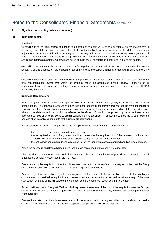### **3 Significant accounting policies (continued)**

#### **(d) Intangible assets**

#### **Goodwill**

Goodwill arising on acquisitions comprises the excess of the fair value of the consideration for investments in subsidiary undertakings over the fair value of the net identifiable assets acquired at the date of acquisition. Adjustments are made to fair values to bring the accounting policies of the acquired businesses into alignment with those of the Company. The costs of integrating and reorganising acquired businesses are charged to the post acquisition income statement. Goodwill arising on acquisitions of subsidiaries is included in intangible assets.

Goodwill is not amortised but is tested annually for impairment and carried at cost less accumulated impairment losses. Gains and losses on the disposal of an entity include the carrying amount of goodwill relating to the entity sold.

Goodwill is allocated to cash-generating units for the purpose of impairment testing. Each of those cash-generating units represents the lowest level within the group at which the associated level of goodwill is monitored for management purposes and are not larger than the operating segments determined in accordance with IFRS 8 "Operating Segments".

#### **Business Combinations**

From 1 August 2009 the Group has applied IFRS 3 Business Combinations (2008) in accounting for business combinations. The change in accounting policy has been applied prospectively and has had no material impact on earnings per share. Business combinations are accounted for using the acquisition method as at the acquisition date, which is the date on which control is transferred to the Group. Control is the power to govern the financial and operating policies of an entity so as to obtain benefits from its activities. In assessing control, the Group takes into consideration potential voting rights that currently are exercisable.

For acquisitions on or after 1 August 2009, the Group measures goodwill at the acquisition date as:

- the fair value of the consideration transferred; plus
- the recognised amount of any non-controlling interests in the acquiree; plus if the business combination is achieved in stages, the fair value of the existing equity interest in the acquiree; less
- the net recognised amount (generally fair value) of the identifiable assets acquired and liabilities assumed.

When the excess is negative, a bargain purchase gain is recognised immediately in profit or loss.

The consideration transferred does not include amounts related to the settlement of pre-existing relationships. Such amounts are generally recognised in profit or loss.

Costs related to the acquisition, other than those associated with the issue of debt or equity securities, that the Group incurs in connection with a business combination are expensed as incurred.

Any contingent consideration payable is recognised at fair value at the acquisition date. If the contingent consideration is classified as equity, it is not remeasured and settlement is accounted for within equity. Otherwise, subsequent changes to the fair value of the contingent consideration are recognised in profit or loss.

For acquisitions prior to 1 August 2009, goodwill represents the excess of the cost of the acquisition over the Group's interest in the recognised amounts (generally fair value) of the identifiable assets, liabilities and contingent liabilities of the acquiree.

Transaction costs, other than those associated with the issue of debt or equity securities, that the Group incurred in connection with business combinations were capitalised as part of the cost of acquisition.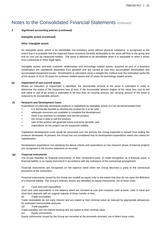#### **3 Significant accounting policies (continued)**

#### **Intangible assets (continued)**

#### **Other intangible assets**

An intangible asset, which is an identifiable non-monetary asset without physical substance, is recognised to the extent that it is probable that the expected future economic benefits attributable to the asset will flow to the group and that its cost can be measured reliably. The asset is deemed to be identifiable when it is separable or when it arises from contractual or other legal rights.

Intangible assets, primarily customer relationships and technology related assets, acquired as part of a business combination are capitalised separately from goodwill and are carried at cost less accumulated amortisation and accumulated impairment losses. Amortisation is calculated using a straight line method over the estimated useful life of the assets of 10 to 20 years for customer related assets and 10 years for technology related assets.

#### **(e) Impairment of non-current assets**

Where an indication of impairment is identified, the recoverable amount of the asset is estimated in order to determine the extent of the impairment loss (if any). If the recoverable amount (higher of fair value less cost to sell and value in use of an asset) is estimated to be less than its carrying amount, the carrying amount of the asset is reduced to its recoverable amount.

#### **(f) Research and Development Costs**

Expenditure on internally developed products is capitalised as intangible assets if it can be demonstrated that:

- it is technically feasible to develop the product for it to be sold;
- adequate resources are available to complete the development;
- there is an intention to complete and sell the product;
- the Group is able to sell the product;
- sale of the product will generate future economic benefits; and
- expenditure on the project can be measured reliably.

Capitalised development costs would be amortised over the periods the Group expected to benefit from selling the products developed. At present, the Group has not considered that its development expenditure meets the criteria for capitalisation.

Development expenditure not satisfying the above criteria and expenditure on the research phase of internal projects are recognised in the income statement as incurred.

#### **(g) Financial instruments**

The Group classifies its financial instruments, or their component parts, on initial recognition as a financial asset, a financial liability or an equity instrument in accordance with the substance of the contractual arrangement.

Financial instruments are recognised on the balance sheet when the Group becomes a party to the contractual provisions of the instrument.

Financial instruments issued by the Group are treated as equity only to the extent that they do not meet the definition of a financial liability. The Group's ordinary shares are classified as equity instruments, net of issue costs.

#### (i) Cash and cash equivalents

Cash and cash equivalents in the balance sheet are included at cost and comprise cash at bank, cash in hand and short term deposits with an original maturity of three months or less.

(ii) Trade receivables

Trade receivables do not carry interest and are stated at their nominal value as reduced by appropriate allowances for estimated irrecoverable amounts.

(iii) Trade payables

Trade payables are not interest bearing and are stated at their nominal value.

(iv) Equity instruments

Equity instruments issued by the Group are recorded at the proceeds received, net of direct issue costs.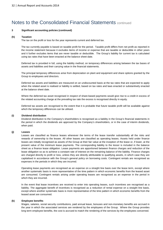#### **3 Significant accounting policies (continued)**

#### **(h) Taxation**

The tax on the profit or loss for the year represents current and deferred tax.

The tax currently payable is based on taxable profit for the period. Taxable profit differs from net profit as reported in the income statement because it excludes items of income or expense that are taxable or deductible in other years and it further excludes items that are never taxable or deductible. The Group's liability for current tax is calculated using tax rates that have been enacted at the balance sheet date.

Deferred tax is provided in full, using the liability method, on temporary differences arising between the tax bases of assets and liabilities and their carrying value in the financial statements.

The principal temporary differences arise from depreciation on plant and equipment and share options granted by the Group to employees and directors.

Deferred tax assets and liabilities are measured on an undiscounted basis at the tax rates that are expected to apply when the related asset is realised or liability is settled, based on tax rates and laws enacted or substantively enacted at the balance sheet date.

Where the deferred tax asset recognised in respect of share-based payments would give rise to a credit in excess of the related accounting charge at the prevailing tax rate the excess is recognised directly in equity.

Deferred tax assets are recognised to the extent that it is probable that future taxable profit will be available against which the temporary differences can be utilised.

#### **(i) Dividend distribution**

Dividend distribution to the Company's shareholders is recognised as a liability in the Group's financial statements in the period in which the dividends are approved by the Company's shareholders, or in the case of interim dividends, when paid.

#### **(j) Leases**

Leases are classified as finance leases whenever the terms of the lease transfer substantially all the risks and rewards of ownership to the lessee. All other leases are classified as operating leases. Assets held under finance leases are initially recognised as assets of the Group at their fair value at the inception of the lease or, if lower, at the present value of the minimum lease payments. The corresponding liability to the lessor is included in the balance sheet as a finance lease obligation. Lease payments are apportioned between finance charges and reduction of the lease obligation so as to achieve a constant rate of interest on the remaining balance of the liability. Finance charges are charged directly to profit or loss, unless they are directly attributable to qualifying assets, in which case they are capitalised in accordance with the Group's general policy on borrowing costs. Contingent rentals are recognised as expenses in the periods in which they are incurred.

Operating lease payments are recognised as an expense on a straight line basis over the lease term, except where another systematic basis is more representative of the time pattern in which economic benefits from the leased asset are consumed. Contingent rentals arising under operating leases are recognised as an expense in the period in which they are incurred.

In the event that lease incentives are received to enter into operating leases, such incentives are recognised as a liability. The aggregate benefit of incentives is recognised as a reduction of rental expense on a straight line basis, except where another systematic basis is more representative of the time pattern in which economic benefits from the leased asset are consumed.

#### **(k) Employee benefits**

Wages, salaries, social security contributions, paid annual leave, bonuses and non-monetary benefits are accrued in the year in which the associated services are rendered by the employees of the Group. Where the Group provides long term employee benefits, the cost is accrued to match the rendering of the services by the employees concerned.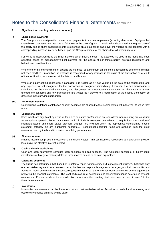#### **3 Significant accounting policies (continued)**

#### **(l) Share based payments**

The Group issues equity-settled share based payments to certain employees (including directors). Equity-settled share based payments are measure at fair value at the date of grant. The fair value determined at the grant date of the equity-settled share based payments is expensed on a straight line basis over the vesting period, together with a corresponding increase in equity, based upon the Group's estimate of the shares that will eventually vest.

Fair value is measured using the Black-Scholes option pricing model. The expected life used in the model has been adjusted, based on management's best estimate, for the effects of non-transferability, exercise restrictions and behavioural considerations.

Where the terms and conditions of options are modified, as a minimum an expense is recognised as if the terms had not been modified. In addition, an expense is recognised for any increase in the value of the transaction as a result of the modification, as measured at the date of modification.

Where an equity-settled transaction is cancelled, it is treated as if it had vested on the date of the cancellation, and any expense not yet recognised for the transaction is recognised immediately. However, if a new transaction is substituted for the cancelled transaction, and designated as a replacement transaction on the date that it was granted, the cancelled and new transactions are treated as if they were a modification of the original transaction as described in the previous paragraph.

#### **(m) Retirement benefits**

Contributions to defined contribution pension schemes are charged to the income statement in the year to which they relate.

#### **(n) Exceptional items**

Items which are significant by virtue of their size or nature and/or which are considered non-recurring are classified as exceptional operating items. Such items, which include for example costs relating to acquisitions, amortisation of intangible assets and share based payment charges, are included within the appropriate consolidated income statement category but are highlighted separately. Exceptional operating items are excluded from the profit measures used by the board to monitor underlying performance.

#### **(o) Finance income**

Finance income comprises interest income on funds invested. Interest income is recognised as it accrues in profit or loss, using the effective interest method.

#### **(p) Cash and cash equivalents**

Cash and cash equivalents comprise cash balances and call deposits. The Company considers all highly liquid investments with original maturity dates of three months or less to be cash equivalents.

#### **(q) Operating segments**

The Group has determined that, based on its internal reporting framework and management structure, that it has only one reportable segment on a business basis, but has two reportable segments on a geographical basis – UK and Australia. Such determination is necessarily judgemental in its nature and has been determined by management in preparing the financial statements. The level of disclosure of segmental and other information is determined by such assessment. Further details of the considerations made and the resulting disclosures are provided in note 6 to the financial statements.

#### **(r) Inventories**

Inventories are measured at the lower of cost and net realisable value. Provision is made for slow moving and obsolete inventories on a line by line basis.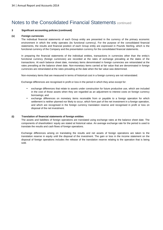#### **3 Significant accounting policies (continued)**

### **(s) Foreign currencies**

The individual financial statements of each Group entity are presented in the currency of the primary economic environment in which the entity operates (its functional currency). For the purpose of the consolidated financial statements, the results and financial position of each Group entity are expressed in Pounds Sterling, which is the functional currency of the Company and the presentation currency for the consolidated financial statements.

In preparing the financial statements of the individual entities, transactions in currencies other than the entity's functional currency (foreign currencies) are recorded at the rates of exchange prevailing at the dates of the transactions. At each balance sheet date, monetary items denominated in foreign currencies are retranslated at the rates prevailing at the balance sheet date. Non-monetary items carried at fair value that are denominated in foreign currencies are retranslated at the rates prevailing at the date when the fair value was determined.

Non-monetary items that are measured in terms of historical cost in a foreign currency are not retranslated.

Exchange differences are recognised in profit or loss in the period in which they arise except for:

- exchange differences that relate to assets under construction for future productive use, which are included in the cost of those assets when they are regarded as an adjustment to interest costs on foreign currency borrowings; and
- exchange differences on monetary items receivable from or payable to a foreign operation for which settlement is neither planned nor likely to occur, which form part of the net investment in a foreign operation, and which are recognised in the foreign currency translation reserve and recognised in profit or loss on disposal of the net investment.

### **(t) Translation of financial statements of foreign entities**

The assets and liabilities of foreign operations are translated using exchange rates at the balance sheet date. The components of shareholders' equity are stated at historical value. An average exchange rate for the period is used to translate the results and cash flows of foreign operations.

Exchange differences arising on translating the results and net assets of foreign operations are taken to the translation reserve in equity until the disposal of the investment. The gain or loss in the income statement on the disposal of foreign operations includes the release of the translation reserve relating to the operation that is being sold.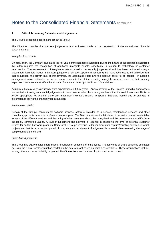#### **4 Critical Accounting Estimates and Judgements**

The Group's accounting policies are set out in Note 3.

The Directors consider that the key judgements and estimates made in the preparation of the consolidated financial statements are:

#### Intangible fixed assets

On acquisition, the Company calculates the fair value of the net assets acquired. Due to the nature of the companies acquired, this often requires the recognition of additional intangible assets, specifically in relation to technology or customer relationships. The assessment of intangible assets acquired is necessarily judgemental and has been performed using a discounted cash flow model. Significant judgement has been applied in assessing the future revenues to be achieved from that acquisition, the growth rate of that revenue, the associated costs and the discount factor to be applied. In addition, management make estimates as to the useful economic life of the resulting intangible assets, based on their industry expertise. These estimates affect the amount of amortisation recognised in each financial year.

Actual results may vary significantly from expectations in future years. Annual reviews of the Group's intangible fixed assets are carried out, using commercial judgements to determine whether there is any evidence that the useful economic life is no longer appropriate, or whether there are impairment indicators relating to specific intangible assets due to changes in circumstance during the financial year in question.

#### Revenue recognition

Certain of the Group's contracts for software licences, software provided as a service, maintenance services and other consultancy projects have a term of more than one year. The Directors assess the fair value of the entire contract attributable to each of the different services and the timing of when revenues should be recognised and this assessment can differ from the legally contracted values. A level of judgement and estimate is required in assessing the level of potential customer returns for certain hardware products. Some of the Group's revenue is derived from data capture/counting services, in which projects can last for an extended period of time. As such, an element of judgement is required when assessing the stage of completion at a period end.

#### Share-based payments

The Group has equity settled share-based remuneration schemes for employees. The fair value of share options is estimated by using the Black-Scholes valuation model, on the date of grant based on certain assumptions. These assumptions include, among others, expected volatility, expected life of the options and number of options expected to vest.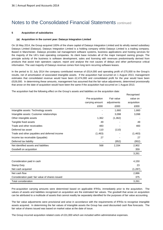### **5 Acquisition of subsidiaries**

### **(a) Acquisition in the current year: Datasys Integration Limited**

On 16 May 2014, the Group acquired 100% of the share capital of Datasys Integration Limited and its wholly owned subsidiary Datasys Limited (Datasys). Datasys Integration Limited is a holding company whilst Datasys Limited is a trading company. Based in Manchester, Datasys provides rail management software systems, business applications and hosting services for the majority of the UK's train operating companies. Its client base includes all of the major transport owning groups. The principle activity of the business is software development, sales and licensing with revenues predominantly derived from products that assist train operators capture, report and analyse the root causes of delays and other performance critical information. The vast majority of Datasys revenue comes from long term recurring software leases.

In the period to 31 July 2014 the company contributed revenue of £514,000 and operating profit of £75,000 to the Group's results, net of amortisation of associated intangible assets. If the acquisition had occurred on 1 August 2013, management estimates that consolidated revenue would have been £2,474,000 and consolidated profit for the year would have been £526,000. In determining these amounts, management has assumed that the fair value adjustments, determined provisionally that arose on the date of acquisition would have been the same if the acquisition had occurred on 1 August 2013.

The acquisition had the following effect on the Group's assets and liabilities on the acquisition date:

|                                                 |                 |             | Recognised  |
|-------------------------------------------------|-----------------|-------------|-------------|
|                                                 | Pre-acquisition | Fair value  | value on    |
|                                                 | carrying amount | adjustments | acquisition |
|                                                 | £000            | £000        | £000        |
| Intangible assets: Technology assets            |                 | 1,660       | 1,660       |
| Intangible assets: Customer relationships       |                 | 3,098       | 3,098       |
| Other intangible assets                         | 1,362           | (1, 362)    |             |
| Tangible fixed assets                           | 49              |             | 49          |
| Trade and other receivables                     | 483             |             | 483         |
| Deferred tax asset                              | 110             | (110)       |             |
| Trade and other payables and deferred income    | (1,463)         |             | (1,463)     |
| Income tax receivable /(payable)                | 27              |             | 27          |
| Deferred tax liability                          |                 | (952)       | (952)       |
| Net identified assets and liabilities           | 568             | 2,334       | 2,902       |
| Goodwill on acquisition                         |                 |             | 359         |
|                                                 |                 |             | 3,261       |
|                                                 |                 |             |             |
| Consideration paid in cash                      |                 |             | 4,150       |
| <b>Stamp Duty</b>                               |                 |             | 23          |
| Net cash acquired                               |                 |             | (1,287)     |
| Net cash flow                                   |                 |             | 2,886       |
| Consideration paid: fair value of shares issued |                 |             | 375         |
| Total consideration                             |                 |             | 3,261       |

Pre-acquisition carrying amounts were determined based on applicable IFRSs, immediately prior to the acquisition. The values of assets and liabilities recognised on acquisition are the estimated fair values. The goodwill that arose on acquisition can be attributed to a multitude of assets that cannot readily be separately identified for the purposes of fair value accounting.

The fair value adjustments were provisional and arise in accordance with the requirements of IFRSs to recognise intangible assets acquired. In determining the fair values of intangible assets the Group has used discounted cash flow forecasts. The fair value of shares issued was based on market value at the date of issue.

The Group incurred acquisition related costs of £31,000 which are included within administrative expenses.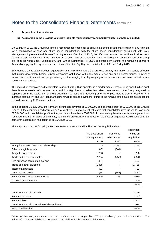#### **5 Acquisition of subsidiaries**

#### **(b) Acquisition in the previous year: Sky High plc (subsequently renamed Sky High Technology Limited)**

On 26 March 2013, the Group published a recommended cash offer to acquire the entire issued share capital of Sky High plc, for a combination of cash and share based consideration, with the share based consideration being dealt with via a Management Agreement and Prowse Trust Agreement. On 17 April 2013, the offer was declared unconditional in all respects as the Group had received valid acceptances of over 90% of the Offer Shares. Following this announcement, the Group exercised its rights under Sections 979 and 980 of Companies Act 2006 to compulsory transfer the remaining shares to Tracsis by applying the 'squeeze out' provisions of the Act. Sky High was delisted from AIM on 16 May 2013.

Sky High is a traffic data collection, aggregation and analysis company that provides primary information to a variety of clients that include government bodies, private companies well known within the market place and public sector groups. Its primary markets are the transport and people moving sectors ranging from highway agencies, stations and railways, to festival and conference organisers.

The acquisition took place as the Directors believe that Sky High operates in a similar market, cross selling opportunities exist, there is some overlap of customer base, and Sky High has a sizeable Australian presence which the Group may seek to capitalise on in the future. By removing duplicate PLC costs and achieving other synergies, there is also an opportunity to increase profitability, and Sky High management will be able to devote more time to the running of the business as opposed to being distracted by PLC related matters.

In the period to 31 July 2013 the company contributed revenue of £3,190,000 and operating profit of £217,000 to the Group's results. If the acquisition had occurred on 1 August 2012, management estimates that consolidated revenue would have been £9,594,000 and consolidated profit for the year would have been £349,000. In determining these amounts, management has assumed that the fair value adjustments, determined provisionally that arose on the date of acquisition would have been the same if the acquisition had occurred on 1 August 2012.

The acquisition had the following effect on the Group's assets and liabilities on the acquisition date:

|                                                 |                 |             | Recognised  |
|-------------------------------------------------|-----------------|-------------|-------------|
|                                                 | Pre-acquisition | Fair value  | value on    |
|                                                 | carrying amount | adjustments | acquisition |
|                                                 | £000            | £000        | £000        |
| Intangible assets: Customer relationships       |                 | 1,704       | 1,704       |
| Other intangible assets                         | 861             | (861)       |             |
| Tangible fixed assets                           | 1,200           |             | 1,200       |
| Trade and other receivables                     | 2,294           | (250)       | 2,044       |
| Hire purchase contract obligations              | (407)           |             | (407)       |
| Trade and other payables                        | (1, 488)        |             | (1,488)     |
| Income tax payable                              | (21)            |             | (21)        |
| Deferred tax liability                          | (64)            | (358)       | (422)       |
| Net identified assets and liabilities           | 2,375           | 235         | 2,610       |
| Goodwill on acquisition                         |                 |             | 390         |
|                                                 |                 |             | 3,000       |
|                                                 |                 |             |             |
| Consideration paid in cash                      |                 |             | 2,759       |
| Net cash acquired                               |                 |             | (297)       |
| Net cash flow                                   |                 |             | 2,462       |
| Consideration paid: fair value of shares issued |                 |             | 538         |
| Total consideration                             |                 |             | 3,000       |

Pre-acquisition carrying amounts were determined based on applicable IFRSs, immediately prior to the acquisition. The values of assets and liabilities recognised on acquisition are the estimated fair values.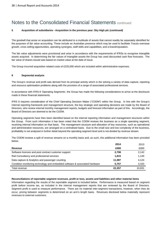### **5 Acquisition of subsidiaries - Acquisition in the previous year: Sky High plc (continued)**

The goodwill that arose on acquisition can be attributed to a multitude of assets that cannot readily be separately identified for the purposes of fair value accounting. These include an Australian presence which may be used to facilitate Tracsis overseas growth, cross selling opportunities, operating synergies, staff skills and capabilities, and a brand/reputation.

The fair value adjustments were provisional and arise in accordance with the requirements of IFRSs to recognise intangible assets acquired. In determining the fair values of intangible assets the Group has used discounted cash flow forecasts. The fair value of shares issued was based on market value at the date of issue.

The Group incurred acquisition related costs of £225,000 which are included within administrative expenses.

#### **6 Segmental analysis**

The Group's revenue and profit was derived from its principal activity which is the solving a variety of data capture, reporting and resource optimisation problems along with the provision of a range of associated professional services.

In accordance with IFRS 8 'Operating Segments', the Group has made the following considerations to arrive at the disclosure made in these financial statements.

IFRS 8 requires consideration of the Chief Operating Decision Maker ("CODM") within the Group. In line with the Group's internal reporting framework and management structure, the key strategic and operating decisions are made by the Board of Directors, who review internal monthly management reports, budgets and forecast information as part of this. Accordingly, the Board of Directors are deemed to be the CODM.

Operating segments have then been identified based on the internal reporting information and management structures within the Group. From such information it has been noted that the CODM reviews the business as a single operating segment, receiving internal information on that basis. The management structure and allocation of key resources, such as operational and administrative resources, are arranged on a centralised basis. Due to the small size and low complexity of the business, profitability is not analysed in further detail beyond the operating segment level and is not divided by revenue stream.

The CODM reviews a split of revenue streams on a monthly basis and, as such, this additional information has been provided below.

|                                                                             | 2014   | 2013   |
|-----------------------------------------------------------------------------|--------|--------|
| Revenue                                                                     | £000   | £000   |
| Software licences and post contract customer support                        | 2,798  | 2,142  |
| Rail Consultancy and professional services                                  | 1,815  | 1.145  |
| Data capture & Analytics and passenger counting                             | 11.987 | 4.124  |
| Condition monitoring technology and embedded software & associated hardware | 5.757  | 3,420  |
| Total revenue                                                               | 22,357 | 10.831 |

### **Reconciliations of reportable segment revenues, profit or loss, assets and liabilities and other material items**

Information regarding the results of the reportable segment is included below. Performance is measured based on segment profit before income tax, as included in the internal management reports that are reviewed by the Board of Directors. Segment profit is used to measure performance. There are no material inter-segment transactions, however, when they do occur, pricing between segments is determined on an arm's length basis. Revenues disclosed below materially represent revenues to external customers.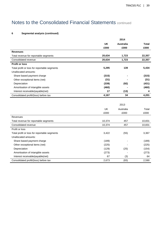### **6 Segmental analysis (continued)**

|                                              | 2014      |                  |              |
|----------------------------------------------|-----------|------------------|--------------|
|                                              | <b>UK</b> | <b>Australia</b> | <b>Total</b> |
|                                              | £000      | £000             | £000         |
| <b>Revenues</b>                              |           |                  |              |
| Total revenue for reportable segments        | 20,634    | 1,723            | 22,357       |
| Consolidated revenue                         | 20,634    | 1,723            | 22,357       |
| <b>Profit or loss</b>                        |           |                  |              |
| Total profit or loss for reportable segments | 5,295     | 139              | 5,434        |
| Unallocated amounts:                         |           |                  |              |
| Share based payment charge                   | (315)     |                  | (315)        |
| Other exceptional items (net)                | (31)      |                  | (31)         |
| Depreciation                                 | (339)     | (92)             | (431)        |
| Amortisation of intangible assets            | (460)     |                  | (460)        |
| Interest receivable/payable(net)             | 17        | (13)             | 4            |
| Consolidated profit/(loss) before tax        | 4,167     | 34               | 4,201        |

|                                              |        | 2013      |        |
|----------------------------------------------|--------|-----------|--------|
|                                              | UK     | Australia | Total  |
|                                              | £000   | £000      | £000   |
| Revenues                                     |        |           |        |
| Total revenue for reportable segments        | 10,374 | 457       | 10,831 |
| Consolidated revenue                         | 10,374 | 457       | 10,831 |
| Profit or loss                               |        |           |        |
| Total profit or loss for reportable segments | 3,422  | (55)      | 3,367  |
| Unallocated amounts:                         |        |           |        |
| Share based payment charge                   | (189)  |           | (189)  |
| Other exceptional items (net)                | (225)  |           | (225)  |
| Depreciation                                 | (129)  | (25)      | (154)  |
| Amortisation of intangible assets            | (273)  |           | (273)  |
| Interest receivable/payable(net)             | 67     | (3)       | 64     |
| Consolidated profit/(loss) before tax        | 2,673  | (83)      | 2,590  |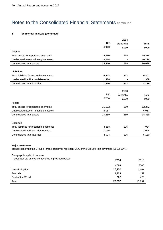### **6 Segmental analysis (continued)**

|                                           |           | 2014             |              |
|-------------------------------------------|-----------|------------------|--------------|
|                                           | <b>UK</b> | <b>Australia</b> | <b>Total</b> |
|                                           | £'000     | £000             | £000         |
| <b>Assets</b>                             |           |                  |              |
| Total assets for reportable segments      | 14,686    | 628              | 15,314       |
| Unallocated assets - intangible assets    | 10,724    |                  | 10,724       |
| Consolidated total assets                 | 25,410    | 628              | 26,038       |
| <b>Liabilities</b>                        |           |                  |              |
| Total liabilities for reportable segments | 6,428     | 373              | 6,801        |
| Unallocated liabilities - deferred tax    | 1,388     |                  | 1,388        |
| Consolidated total liabilities            | 7,816     | 373              | 8,189        |
|                                           |           |                  |              |
|                                           | <b>UK</b> | 2013             |              |
|                                           |           | Australia        | Total        |
|                                           | £'000     | £000             | £000         |
| Assets                                    |           |                  |              |
| Total assets for reportable segments      | 11,622    | 650              | 12,272       |
| Unallocated assets - intangible assets    | 6,067     |                  | 6,067        |
| Consolidated total assets                 | 17,689    | 650              | 18,339       |
|                                           |           |                  |              |
| Liabilities                               |           |                  |              |
| Total liabilities for reportable segments | 3,858     | 226              | 4,084        |
| Unallocated liabilities - deferred tax    | 1,046     |                  | 1,046        |
| Consolidated total liabilities            | 4,904     | 226              | 5,130        |

#### **Major customers**

Transactions with the Group's largest customer represent 25% of the Group's total revenues (2013: 31%).

### **Geographic split of revenue**

A geographical analysis of revenue is provided below: **2014** <sup>2013</sup>

|                   | £000   | £000   |
|-------------------|--------|--------|
| United Kingdom    | 20,252 | 9,951  |
| Australia         | 1,723  | 457    |
| Rest of the World | 382    | 423    |
| Total             | 22,357 | 10,831 |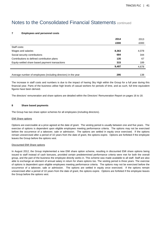### **7 Employees and personnel costs**

|                                                               | 2014  | 2013  |
|---------------------------------------------------------------|-------|-------|
|                                                               | £000  | £000  |
| Staff costs:                                                  |       |       |
| Wages and salaries                                            | 8,363 | 4,078 |
| Social security contributions                                 | 684   | 344   |
| Contributions to defined contribution plans                   | 135   | 67    |
| Equity-settled share based payment transactions               | 315   | 189   |
|                                                               | 9,497 | 4,678 |
|                                                               |       |       |
| Average number of employees (including directors) in the year | 295   | 138   |

The increase in staff costs and numbers is due to the impact of having Sky High within the Group for a full year during this financial year. Parts of the business utilise high levels of casual workers for periods of time, and as such, full time equivalent figures have been derived.

The directors' remuneration and share options are detailed within the Directors' Remuneration Report on pages 16 to 18.

### **8 Share based payments**

The Group has two share option schemes for all employees (including directors).

### EMI Share options

Options are exercisable at a price agreed at the date of grant. The vesting period is usually between one and five years. The exercise of options is dependent upon eligible employees meeting performance criteria. The options may not be exercised before the occurrence of a takeover, sale or admission. The options are settled in equity once exercised. If the options remain unexercised after a period of 10 years from the date of grant, the options expire. Options are forfeited if the employee leaves the Group before the options vest.

### Discounted EMI Share options

In August 2012, the Group implemented a new EMI share option scheme, resulting in discounted EMI share options being issued to staff instead of cash bonuses, provided certain predetermined performance criteria were met for both the overall group, and the part of the business the employee directly works in. This scheme was made available to all staff. Staff are also able to exchange an element of annual salary in return for share options too. The vesting period is three years. The exercise of options is dependent upon eligible employees meeting performance criteria. The options may not be exercised before the occurrence of a takeover, sale or admission. The options are settled in equity once exercised. If the options remain unexercised after a period of 10 years from the date of grant, the options expire. Options are forfeited if the employee leaves the Group before the options vest.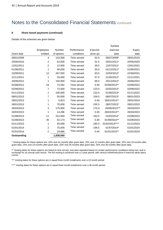#### **8 Share based payments (continued)**

Details of the schemes are given below:

|             |                |            |             |           | Earliest       |            |
|-------------|----------------|------------|-------------|-----------|----------------|------------|
|             | Employees      | Number     | Performance | Exercise  | exercise       | Expiry     |
| Grant date  | entitled       | of options | conditions  | price (p) | date           | date       |
| 28/01/2009  | $\overline{4}$ | 143,000    | Time served | 52.0      | 28/07/2009*    | 28/01/2019 |
| 20/05/2010  | $\overline{c}$ | 62,000     | Time served | 51.5      | 20/01/2011*    | 20/05/2020 |
| 12/01/2011  | 2              | 12,500     | Time served | 49.5      | 12/07/2011*    | 12/01/2021 |
| 01/06/2011  | 1              | 90,000     | Time served | 50.0      | 01/12/2011*    | 01/06/2021 |
| 22/09/2011  | 12             | 267,500    | Time served | 63.5      | 22/03/2012*    | 22/09/2021 |
| 21/11/2011  | 1              | 25,000     | Time served | 57.5      | 21/05/2012*    | 21/11/2021 |
| 20/06/2012  | 1              | 150,000    | Time served | 89.0      | 20/12/2012*    | 20/06/2022 |
| 02/08/2012  | 24             | 72,592     | Time served | 0.40      | 02/08/2013**   | 02/08/2022 |
| 02/08/2012  | $\overline{7}$ | 72,500     | Time served | 123.0     | 02/02/2013*    | 02/08/2022 |
| 01/11/2012  | 1              | 100,000    | Time served | 133.5     | 01/06/2013*    | 01/11/2022 |
| 08/01/2013  | 7              | 55,000     | Time served | 159.0     | 08/07/2013*    | 08/01/2023 |
| 28/01/2013  | 1              | 4,823      | Time served | 0.40      | 28/01/2014**   | 28/01/2023 |
| 28/01/2013  | 1              | 70,000     | Time served | 155.5     | 28/07/2013*    | 28/01/2023 |
| 26/03/2013  | 3              | 175,000    | Time served | 175.0     | 26/06/2013***  | 26/03/2023 |
| 26/03/2013  | 1              | 14,286     | Time served | 0.40      | 26/03/2014**   | 26/03/2023 |
| 01/08/2013  | 11             | 312,500    | Time served | 162.5     | 01/02/2014*    | 01/08/2023 |
| 01/08/2013  | 35             | 62,173     | Time served | 0.40      | 01/08/2014**   | 01/08/2023 |
| 01/11/2013  | 1              | 50,000     | Time served | 185.0     | 01/02/2014**** | 01/11/2023 |
| 01/01/2014  | $\overline{c}$ | 75,000     | Time served | 199.5     | 01/07/2014*    | 01/01/2024 |
| 01/01/2014  | $\overline{c}$ | 24,686     | Time served | 0.40      | 01/01/2015**   | 01/01/2024 |
| Outstanding |                | 1,838,560  |             |           |                |            |

\* Vesting dates for these options are: 10% vest six months after grant date, 15% vest 12 months after grant date, 15% vest 18 months after grant date, 15% vest 24 months after grant date, 20% vest 30 months after grant date, 25% vest 36 months after grant date.

\*\* Vesting dates for these options are linked to time served, and were awarded based on certain performance conditions being met, and in exchange for an annual cash bonus. The full vesting is achieved over a 3 year period, with various forfeit/reductions if exercise takes place sooner

\*\*\* Vesting dates for these options are in equal three month instalments over a 24 month period

\*\*\*\* Vesting dates for these options are in equal three month instalments over a 36 month period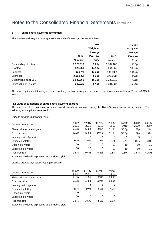### **8 Share based payments (continued)**

The number and weighted average exercise price of share options are as follows:

|                         |               | 2014              |            | 2013     |
|-------------------------|---------------|-------------------|------------|----------|
|                         |               | Weighted          |            | Weighted |
|                         |               | Average           |            | Average  |
|                         | 2014          | <b>Exercise</b>   | 2013       | Exercise |
|                         | <b>Number</b> | <b>Price</b>      | Number     | Price    |
| Outstanding at 1 August | 1,929,016     | 79.1 <sub>p</sub> | 1,784,102  | 53.6p    |
| Granted                 | 525,251       | 142.8p            | 664,965    | 133.0p   |
| Forfeited               | (10, 674)     | 111.8p            | (141,500)  | 104.2p   |
| Exercised               | (605, 033)    | 51.8p             | (378, 551) | 44.7p    |
| Outstanding at 31 July  | 1,838,560     | 106.0p            | 1,929,016  | 79.1p    |
| Exercisable at 31 July  | 940,026       | 87.9p             | 1,031,837  | 56.4p    |

The share options outstanding at the end of the year have a weighted average remaining contractual life of 7 years (2013: 6 years).

### **Fair value assumptions of share based payment charges**

The estimate of the fair value of share based awards is calculated using the Black-Scholes option pricing model. The following assumptions were used:

Options granted in previous years:

l.

j.

| Options granted on                               | 01/06/<br>2011    | 12/01/<br>2011 | 01/08/<br>2010 | 20/05/<br>2010 | 17/03/<br>2010 | 28/01/<br>2009 | 26/11/<br>2007  |
|--------------------------------------------------|-------------------|----------------|----------------|----------------|----------------|----------------|-----------------|
| Share price at date of grant                     | 50.0p             | 49.5p          | 50.5p          | 51.5p          | 50.5p          | 52p            | 40 <sub>p</sub> |
| Exercise price                                   | 50.0 <sub>p</sub> | 49.5p          | 50.5p          | 51.5p          | 50.5p          | 52p            | 40 <sub>p</sub> |
| Vesting period (years)                           | 3                 | 3              | 3              | 3              | 3              | 3              |                 |
| Expected volatility                              | 15%               | 15%            | 15%            | 15%            | 15%            | 15%            | 40%             |
| Option life (years)                              | 10                | 10             | 10             | 10             | 10             | 10             | 10              |
| Expected life (years)                            | 10                | 10             | 10             | 10             | 10             | 10             | 10              |
| Risk-free rate                                   | 3.5%              | 0.5%           | 0.5%           | 0.5%           | 0.5%           | 0.5%           | 4.75%           |
| Expected dividends expressed as a dividend yield |                   |                |                |                |                |                |                 |

Options granted in previous years (continued):

| Options granted on                               | 22/09/<br>2011 | 21/11/<br>2011 | 01/02/<br>2012 | 20/06/<br>2012 |
|--------------------------------------------------|----------------|----------------|----------------|----------------|
| Share price at date of grant                     | 63.5p          | 57.5p          | 62.0p          | 89.0p          |
| Exercise price                                   | 63.5p          | 57.5p          | 62.0p          | 89.0p          |
| Vesting period (years)                           | 3              | 3              | 3              | 3              |
| Expected volatility                              | 50%            | 50%            | 50%            | 50%            |
| Option life (years)                              | 10             | 10             | 10             | 10             |
| Expected life (years)                            | 10             | 10             | 10             | 10             |
| Risk-free rate                                   | 3.5%           | 3.5%           | 3.5%           | 3.5%           |
| Expected dividends expressed as a dividend yield |                |                |                |                |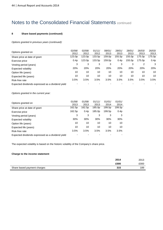### **8 Share based payments (continued)**

Options granted in previous years (continued):

| Options granted on                               | 02/08/ | 02/08/ | 01/11/ | 08/01/ | 28/01/ | 28/01/ | 26/03/ | 26/03/ |
|--------------------------------------------------|--------|--------|--------|--------|--------|--------|--------|--------|
|                                                  | 2012   | 2012   | 2012   | 2013   | 2013   | 2013   | 2013   | 2013   |
| Share price at date of grant                     | 123.0p | 123.0p | 133.5p | 159.0p | 155.5p | 155.0p | 175.0p | 175.0p |
| Exercise price                                   | 0.4p   | 123.0p | 133.5p | 159.0p | 0.4p   | 155.0p | 175.0p | 0.4p   |
| Vesting period (years)                           | 3      | 3      | 3      | 3      | 3      | 3      | 2      | 3      |
| Expected volatility                              | 20%    | 20%    | 20%    | 20%    | 20%    | 20%    | 20%    | 20%    |
| Option life (years)                              | 10     | 10     | 10     | 10     | 10     | 10     | 10     | 10     |
| Expected life (years)                            | 10     | 10     | 10     | 10     | 10     | 10     | 10     | 10     |
| Risk-free rate                                   | 3.5%   | 3.5%   | 3.5%   | 3.5%   | 3.5%   | 3.5%   | 3.5%   | 3.5%   |
| Expected dividends expressed as a dividend yield |        |        |        |        |        |        |        |        |

Options granted in the current year:

| Options granted on                               | 01/08/ | 01/08/           | 01/11/ | 01/01/ | 01/01/           |
|--------------------------------------------------|--------|------------------|--------|--------|------------------|
|                                                  | 2013   | 2013             | 2013   | 2014   | 2014             |
| Share price at date of grant                     | 162.5p | 162.5p           | 185.0p | 199.5p | 199.5p           |
| Exercise price                                   | 162.5p | 0.4 <sub>D</sub> | 185.0p | 199.5p | 0.4 <sub>p</sub> |
| Vesting period (years)                           | 3      | 3                | 3      | 3      | 3                |
| Expected volatility                              | 30%    | 30%              | 30%    | 30%    | 30%              |
| Option life (years)                              | 10     | 10               | 10     | 10     | 10               |
| Expected life (years)                            | 10     | 10               | 10     | 10     | 10               |
| Risk-free rate                                   | 3.5%   | 3.5%             | 3.5%   | 3.5%   | 3.5%             |
| Expected dividends expressed as a dividend yield |        |                  |        |        |                  |

The expected volatility is based on the historic volatility of the Company's share price.

#### **Charge to the income statement**

Ŷ.

|                             | 2014 | 2013 |
|-----------------------------|------|------|
|                             | £000 | £000 |
| Share based payment charges | 315  | 189  |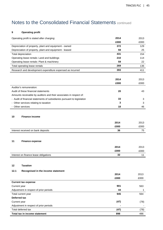## **9 Operating profit**

| Operating profit is stated after charging:                              | 2014 | 2013 |
|-------------------------------------------------------------------------|------|------|
|                                                                         | £000 | £000 |
| Depreciation of property, plant and equipment - owned                   | 372  | 129  |
| Depreciation of property, plant and equipment - leased                  | 59   | 25   |
| <b>Total depreciation</b>                                               | 431  | 154  |
| Operating lease rentals: Land and buildings                             | 210  | 114  |
| Operating lease rentals: Plant & machinery                              | 59   | 22   |
| Total operating lease rentals                                           | 269  | 136  |
| Research and development expenditure expensed as incurred               | 393  | 411  |
|                                                                         |      |      |
|                                                                         | 2014 | 2013 |
|                                                                         | £000 | £000 |
| Auditor's remuneration:                                                 |      |      |
| Audit of these financial statements                                     | 20   | 43   |
| Amounts receivable by auditors and their associates in respect of:      |      |      |
| - Audit of financial statements of subsidiaries pursuant to legislation | 33   | 3    |
| - Other services relating to taxation                                   | 3    | 3    |
| - Other services                                                        | 18   | 46   |
| <b>Finance income</b><br>10                                             |      |      |
|                                                                         | 2014 | 2013 |
|                                                                         | £000 | £000 |
| Interest received on bank deposits                                      | 36   | 75   |
| 11<br><b>Finance expense</b>                                            |      |      |
|                                                                         | 2014 | 2013 |
|                                                                         | £000 | £000 |
| Interest on finance lease obligations                                   | 32   | 11   |
| <b>Taxation</b><br>12<br>12.1<br>Recognised in the income statement     |      |      |
|                                                                         | 2014 | 2013 |
|                                                                         | £000 | £000 |
| <b>Current tax expense</b>                                              |      |      |
| Current year                                                            | 901  | 563  |
| Adjustment in respect of prior periods                                  | 44   | 1    |
| Total current year                                                      | 945  | 564  |
| <b>Deferred tax</b>                                                     |      |      |
| Current year                                                            | (47) | (78) |
| Adjustment in respect of prior periods                                  |      |      |
| Total deferred tax                                                      | (47) | (78) |
| Total tax in income statement                                           | 898  | 486  |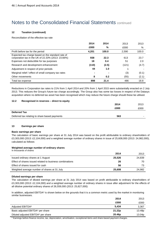### **12 Taxation (continued)**

Reconciliation of the effective tax rate

|                                                                                                                                                     | 2014      | 2014        | 2013      | 2013        |
|-----------------------------------------------------------------------------------------------------------------------------------------------------|-----------|-------------|-----------|-------------|
|                                                                                                                                                     | £000      | %           | £000      | %           |
| Profit before tax for the period                                                                                                                    | 4,201     | 100.0       | 2,590     | 100.0       |
| Expected tax charge based on the standard rate of<br>corporation tax in the UK of 22.33% (2013: 23.66%)<br>Expenses not deductible for tax purposes | 938<br>18 | 22.3<br>0.4 | 613<br>51 | 23.7<br>2.0 |
| Research and development enhancement                                                                                                                | (110)     | (2.5)       | (121)     | (4.7)       |
| Adjustment in respect of prior periods                                                                                                              | 44        | 1.0         |           |             |
| Marginal relief / effect of small company tax rates                                                                                                 |           |             | (3)       | (0.1)       |
| Other movements                                                                                                                                     | 8         | 0.2         | (55)      | (2.1)       |
| Total tax expense                                                                                                                                   | 898       | 21.4        | 486       | 18.8        |

Reductions in Corporation tax rates to 21% from 1 April 2014 and 20% from 1 April 2015 were substantially enacted on 2 July 2013. This reduces the Group's future tax charge accordingly. The Group also has some tax losses in respect of the Datasys acquisition where no deferred tax asset has been recognised which may reduce the future charge should these be utilised.

#### **12.2 Recognised in reserves – direct to equity**

|                                               | 2014 | 2013 |
|-----------------------------------------------|------|------|
|                                               | £000 | £000 |
| <b>Deferred Tax</b>                           |      |      |
| Deferred tax relating to share based payments | 563  | -    |

#### **13 Earnings per share**

#### **Basic earnings per share**

The calculation of basic earnings per share at 31 July 2014 was based on the profit attributable to ordinary shareholders of £3,303,000 (2013: £2,104,000) and a weighted average number of ordinary shares in issue of 25,608,000 (2013: 24,982,000), calculated as follows:

### **Weighted average number of ordinary shares**

In thousands of shares

|                                                          | 2014   | 2013   |
|----------------------------------------------------------|--------|--------|
| Issued ordinary shares at 1 August                       | 25,526 | 24,839 |
| Effect of shares issued related to business combinations | 26     | 70     |
| Effect of shares issued for cash                         | 56     | 73     |
| Weighted average number of shares at 31 July             | 25,608 | 24.982 |

#### **Diluted earnings per share**

The calculation of diluted earnings per share at 31 July 2014 was based on profit attributable to ordinary shareholders of £3,303,000 (2013: £2,104,000) and a weighted average number of ordinary shares in issue after adjustment for the effects of all dilutive potential ordinary shares of 26,559,000 (2013: 25,827,000):

In addition, adjusted EBITDA\* is shown below on the grounds that it is a common metric used by the market in monitoring similar businesses.

|                                    | 2014               | 2013   |
|------------------------------------|--------------------|--------|
|                                    | £000               | £000   |
| Adjusted EBITDA*                   | 5.434              | 3,367  |
| Basic adjusted EBITDA* per share   | 21.22p             | 13.48p |
| Diluted adjusted EBITDA* per share | 20.46 <sub>p</sub> | 13.04p |

\* Earnings before finance income, tax, depreciation, amortisation, exceptional items and share-based payment charges.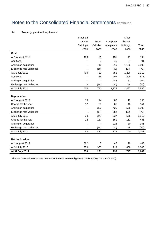### **14 Property, plant and equipment**

|                         | Freehold                     |                |           | Office     |              |
|-------------------------|------------------------------|----------------|-----------|------------|--------------|
|                         | Land &                       | Motor          | Computer  | fixtures   |              |
|                         | <b>Buildings</b>             | Vehicles       | equipment | & fittings | <b>Total</b> |
|                         | £000                         | £000           | £000      | £000       | £000         |
| Cost                    |                              |                |           |            |              |
| At 1 August 2012        | 400                          | 21             | 131       | 41         | 593          |
| <b>Additions</b>        |                              | 8              | 46        | 37         | 91           |
| Arising on acquisition  | $\overline{\phantom{a}}$     | 719            | 619       | 1,162      | 2,500        |
| Exchange rate variances | ä,                           | (18)           | (40)      | (14)       | (72)         |
| At 31 July 2013         | 400                          | 730            | 756       | 1,226      | 3,112        |
| Additions               |                              | 55             | 207       | 209        | 471          |
| Arising on acquisition  | ٠                            |                | 243       | 61         | 304          |
| Exchange rate variances | $\blacksquare$               | (14)           | (34)      | (9)        | (57)         |
| At 31 July 2014         | 400                          | 771            | 1,172     | 1,487      | 3,830        |
|                         |                              |                |           |            |              |
| <b>Depreciation</b>     |                              |                |           |            |              |
| At 1 August 2012        | 18                           | 14             | 86        | 12         | 130          |
| Charge for the year     | 12                           | 38             | 61        | 43         | 154          |
| Arising on acquisition  | ÷                            | 339            | 426       | 535        | 1,300        |
| Exchange rate variances | $\qquad \qquad \blacksquare$ | (14)           | (36)      | (22)       | (72)         |
| At 31 July 2013         | 30                           | 377            | 537       | 568        | 1,512        |
| Charge for the year     | 12                           | 117            | 151       | 151        | 431          |
| Arising on acquisition  |                              |                | 225       | 30         | 255          |
| Exchange rate variances | $\blacksquare$               | (14)           | (34)      | (9)        | (57)         |
| At 31 July 2014         | 42                           | 480            | 879       | 740        | 2,141        |
|                         |                              |                |           |            |              |
| Net book value          |                              |                |           |            |              |
| At 1 August 2012        | 382                          | $\overline{7}$ | 45        | 29         | 463          |
| At 31 July 2013         | 370                          | 353            | 219       | 658        | 1,600        |
| At 31 July 2014         | 358                          | 291            | 293       | 747        | 1,689        |

The net book value of assets held under finance lease obligations is £194,000 (2013: £305,000).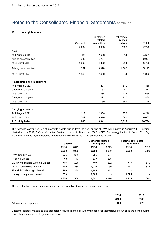### **15 Intangible assets**

j.

|                                    |                          | Customer<br>related | Technology<br>related |        |
|------------------------------------|--------------------------|---------------------|-----------------------|--------|
|                                    | Goodwill                 | intangibles         | intangibles           | Total  |
|                                    | £000                     | £000                | £000                  | £000   |
| Cost                               |                          |                     |                       |        |
| At 1 August 2012                   | 1,119                    | 2,628               | 914                   | 4,661  |
| Arising on acquisition             | 390                      | 1,704               |                       | 2,094  |
| At 31 July 2013                    | 1,509                    | 4,332               | 914                   | 6,755  |
| Arising on acquisition             | 359                      | 3,098               | 1,660                 | 5,117  |
| At 31 July 2014                    | 1,868                    | 7,430               | 2,574                 | 11,872 |
|                                    |                          |                     |                       |        |
| <b>Amortisation and impairment</b> |                          |                     |                       |        |
| At 1 August 2012                   |                          | 274                 | 141                   | 415    |
| Charge for the year                |                          | 182                 | 91                    | 273    |
| At 31 July 2013                    | $\overline{\phantom{0}}$ | 456                 | 232                   | 688    |
| Charge for the year                |                          | 333                 | 127                   | 460    |
| At 31 July 2014                    | $\overline{\phantom{0}}$ | 789                 | 359                   | 1,148  |
|                                    |                          |                     |                       |        |
| <b>Carrying amounts</b>            |                          |                     |                       |        |
| At 1 August 2012                   | 1,119                    | 2,354               | 773                   | 4,246  |
| At 31 July 2013                    | 1,509                    | 3,876               | 682                   | 6,067  |
| At 31 July 2014                    | 1,868                    | 6,641               | 2,215                 | 10,724 |

The following carrying values of intangible assets arising from the acquisitions of RWA Rail Limited in August 2008, Peeping Limited in July 2009, Safety Information Systems Limited in December 2009, MPEC Technology Limited in June 2011, Sky High plc in April 2013, and Datasys Integration Limited in May 2014 are analysed as follows:

|                                    | Goodwill |       |       | <b>Customer related</b><br>intangibles |                | <b>Technology related</b><br>intangibles |  |
|------------------------------------|----------|-------|-------|----------------------------------------|----------------|------------------------------------------|--|
|                                    | 2014     | 2013  | 2014  | 2013                                   | 2014           | 2013                                     |  |
|                                    | £000     | £000  | £000  | £000                                   | £000           | £000                                     |  |
| <b>RWA Rail Limited</b>            | 671      | 671   | 531   | 567                                    | $\blacksquare$ |                                          |  |
| Peeping Limited                    | 43       | 43    | 277   | 295                                    |                |                                          |  |
| Safety Information Systems Limited | 136      | 136   | 209   | 222                                    | 123            | 146                                      |  |
| <b>MPEC Technology Limited</b>     | 269      | 269   | 1,075 | 1,139                                  | 467            | 536                                      |  |
| Sky High Technology Limited        | 390      | 390   | 1.484 | 1,653                                  |                |                                          |  |
| Datasys Integration Limited        | 359      |       | 3,065 | ٠                                      | 1,625          |                                          |  |
|                                    | 1,868    | 1,509 | 6,641 | 3,876                                  | 2,215          | 682                                      |  |

The amortisation charge is recognised in the following line items in the income statement:

|                         | 2014 | 2013 |
|-------------------------|------|------|
|                         | £000 | £000 |
| Administrative expenses | 460  | 273  |

Customer related intangibles and technology related intangibles are amortised over their useful life, which is the period during which they are expected to generate revenue.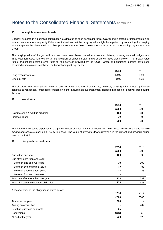### **15 Intangible assets (continued)**

Goodwill acquired in a business combination is allocated to cash generating units (CGUs) and is tested for impairment on an annual basis, or more frequently if there are indications that the carrying value might be impaired, by comparing the carrying amount against the discounted cash flow projections of the CGU. CGUs are not larger than the operating segments of the Group.

The carrying value of the goodwill has been determined based on value in use calculations, covering detailed budgets and three year forecasts, followed by an extrapolation of expected cash flows at growth rates given below. The growth rates reflect prudent long term growth rates for the services provided by the CGU. Gross and operating margins have been assumed to remain constant based on budget and past experience.

|                       | 2014 | 2013   |
|-----------------------|------|--------|
| Long term growth rate | 1.0% | $.0\%$ |
| Discount rate         | 10%  | 10%    |

The directors' key assumptions relate to revenue growth and the discount rate, however, carrying value is not significantly sensitive to reasonably foreseeable changes in either assumption. No impairment charges in respect of goodwill arose during the year.

### **16 Inventories**

|                                  | 2014 | 2013 |
|----------------------------------|------|------|
|                                  | £000 | £000 |
| Raw materials & work in progress | 184  | 138  |
| Finished goods                   | 79   | 98   |
|                                  | 263  | 236  |

The value of inventories expensed in the period in cost of sales was £2,034,000 (2013: £922,000). Provision is made for slow moving and obsolete stock on a line by line basis. The value of any write downs/reversals in the current and previous period was not material.

#### **17 Hire purchase contracts**

|                                         | 2014 | 2013 |
|-----------------------------------------|------|------|
|                                         | £000 | £000 |
| Due within one year                     | 100  | 96   |
| Due after more than one year:           |      |      |
| Between one and two years               | 79   | 100  |
| Between two and three years             | 32   | 83   |
| Between three and four years            | 22   | 25   |
| Between four and five years             |      | 24   |
| Total due after more than one year      | 133  | 232  |
| Total hire purchase contract obligation | 233  | 328  |

A reconciliation of the obligation is stated below.

|                             | 2014           | 2013                     |
|-----------------------------|----------------|--------------------------|
|                             | £000           | £000                     |
| At start of the year        | 328            | $\overline{\phantom{0}}$ |
| Arising on acquisition      | $\blacksquare$ | 407                      |
| New hire purchase contracts | 25             | 16                       |
| Repayments                  | (120)          | (95)                     |
| At end of the year          | 233            | 328                      |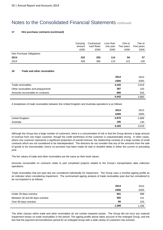### **17 Hire purchase contracts (continued)**

|                           | Carrying<br>amount<br>£000 | Contractual<br>cash flows<br>£000 | Less than<br>one year<br>£000 | One to<br>Two years<br>£000 | Two to<br>Five years<br>£000 |
|---------------------------|----------------------------|-----------------------------------|-------------------------------|-----------------------------|------------------------------|
| Hire Purchase Obligations |                            |                                   |                               |                             |                              |
| 2014                      | 233                        | 255                               | 114                           | 84                          | 57                           |
| 2013                      | 328                        | 365                               | 113                           | 113                         | 139                          |

### **18 Trade and other receivables**

|                                   | 2014  | 2013  |
|-----------------------------------|-------|-------|
|                                   | £000  | £000  |
| Trade receivables                 | 3,165 | 3,019 |
| Other receivables and prepayments | 387   | 220   |
| Amounts recoverable on contracts  | 890   | 626   |
|                                   | 4,442 | 3,865 |

A breakdown of trade receivables between the United Kingdom and Australia operations is as follows:

|                | 2014  | 2013  |
|----------------|-------|-------|
|                | £000  | £000  |
| United Kingdom | 2,970 | 2,889 |
| Australia      | 195   | 130   |
|                | 3,165 | 3,019 |

Although the Group has a large number of customers, there is a concentration of risk in that the Group derives a large amount of revenue from one major customer, though the credit worthiness of this customer is unquestionably strong. In other cases, where one customer represents a significant proportion of overall revenue, the relationship consists of a large number of small contracts which are not considered to be interdependent. The directors do not consider that any of the amounts from the sale of goods to be irrecoverable, hence no provision has been made for bad or doubtful debts in either the current or preceding year.

The fair values of trade and other receivables are the same as their book values.

Amounts recoverable on contracts relate to part completed projects related to the Group's transportation data collection operations.

Trade receivables that are past due are considered individually for impairment. The Group uses a monthly ageing profile as an indicator when considering impairment. The summarised ageing analysis of trade receivables past due but considered to be not impaired is as follows:

|                                | 2014  | 2013  |
|--------------------------------|-------|-------|
|                                | £000  | £000  |
| Under 30 days overdue          | 941   | 988   |
| Between 30 and 60 days overdue | 282   | 131   |
| Over 60 days overdue           | 66    | 220   |
|                                | 1,289 | 1,339 |

The other classes within trade and other receivables do not contain impaired assets. The Group did not incur any material impairment losses on trade receivables in the period. The ageing profile above takes account of the enlarged Group, and the fact that the payment terms/collection period for an enlarged Group with a wide variety of customers has evolved.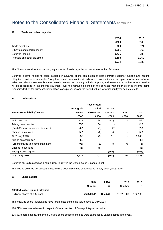### **19 Trade and other payables**

|                               | 2014  | 2013  |
|-------------------------------|-------|-------|
|                               | £000  | £000  |
| Trade payables                | 760   | 521   |
| Other tax and social security | 1,391 | 967   |
| Deferred income               | 1,731 | 785   |
| Accruals and other payables   | 2,193 | 1,259 |
|                               | 6,075 | 3,532 |

The Directors consider that the carrying amounts of trade payables approximates to their fair value.

Deferred income relates to sales invoiced in advance of the completion of post contract customer support and hosting obligations, instances where the Group has raised sales invoices in advance of installation and acceptance of certain software sales, and also for software licences covering several accounting periods. Support, and revenue from Software as a Service will be recognised in the income statement over the remaining period of the contract, with other deferred income being recognised when the successful installation takes place, or over the period of time for which multiyear deals relate to.

#### **20 Deferred tax**

|                                     |            | Accelerated |              |                |       |
|-------------------------------------|------------|-------------|--------------|----------------|-------|
|                                     | Intangible | capital     | <b>Share</b> |                |       |
| Non-current liability/(asset)       | assets     | allowances  | options      | Other          | Total |
|                                     | £000       | £000        | £000         | £000           | £000  |
| At 31 July 2012                     | 718        | 24          | (40)         |                | 702   |
| Arising on acquisition              | 358        | 64          |              | ٠              | 422   |
| (Credit)/charge to income statement | (62)       | (7)         | 47           | -              | (22)  |
| Change in tax rates                 | (58)       | (2)         | 4            | -              | (56)  |
| At 31 July 2013                     | 956        | 79          | 11           | ٠              | 1,046 |
| Arising on acquisition              | 952        | ٠           |              |                | 952   |
| (Credit)/charge to income statement | (96)       | 27          | (8)          | 76             | (1)   |
| Change in tax rates                 | (41)       | (5)         |              |                | (46)  |
| Recognised in equity                |            | ۰           | (563)        | $\overline{a}$ | (563) |
| At 31 July 2014                     | 1,771      | 101         | (560)        | 76             | 1,388 |

Deferred tax is disclosed as a non-current liability in the Consolidated Balance Sheet.

The closing deferred tax asset and liability has been calculated at 20% as at 31 July 2014 (2013: 21%).

#### **21 Share capital**

|                                     | 2014          | 2014    | 2013       | 2013    |
|-------------------------------------|---------------|---------|------------|---------|
|                                     | <b>Number</b> |         | Number     |         |
| Allotted, called up and fully paid: |               |         |            |         |
| Ordinary shares of 0.4p each        | 26,258,114    | 105.032 | 25,526,306 | 102.105 |

The following share transactions have taken place during the year ended 31 July 2014:

126,775 shares were issued in respect of the acquisition of Datasys Integration Limited.

605,033 share options, under the Group's share options schemes were exercised at various points in the year.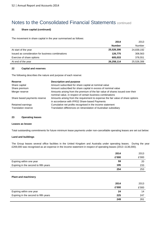### **21 Share capital (continued)**

The movement in share capital in the year summarised as follows:

|                                                   | 2014          | 2013       |
|---------------------------------------------------|---------------|------------|
|                                                   | <b>Number</b> | Number     |
| At start of the year                              | 25,526,306    | 24,839,192 |
| Issued as consideration for business combinations | 126,775       | 308,563    |
| Exercise of share options                         | 605.033       | 378,551    |
| At end of the year                                | 26,258,114    | 25,526,306 |

### **22 Capital and reserves**

The following describes the nature and purpose of each reserve:

| <b>Reserve</b>               | <b>Description and purpose</b>                                                                                                               |
|------------------------------|----------------------------------------------------------------------------------------------------------------------------------------------|
| Share capital                | Amount subscribed for share capital at nominal value                                                                                         |
| Share premium                | Amount subscribed for share capital in excess of nominal value                                                                               |
| Merger reserve               | Amounts arising from the premium of the fair value of shares issued over their<br>nominal value, in respect of certain business combinations |
| Share based payments reserve | Amounts arising from the requirement to expense the fair value of share options<br>in accordance with IFRS2 Share-based Payments             |
| Retained earnings            | Cumulative net profits recognised in the income statement                                                                                    |
| <b>Translation reserve</b>   | Translation differences on retranslation of Australian subsidiary                                                                            |

### **23 Operating leases**

#### **Leases as lessee**

Total outstanding commitments for future minimum lease payments under non-cancellable operating leases are set out below:

### **Land and buildings**

The Group leases several office facilities in the United Kingdom and Australia under operating leases. During the year £269,000 was recognised as an expense in the income statement in respect of operating leases (2013: £136,000).

|                                       | 2014  | 2013  |
|---------------------------------------|-------|-------|
|                                       | £'000 | £'000 |
| Expiring within one year              | 59    | 20    |
| Expiring in the second to fifth years | 195   | 233   |
|                                       | 254   | 253   |

### **Plant and machinery**

|                                       | 2014  | 2013  |
|---------------------------------------|-------|-------|
|                                       | £'000 | £'000 |
| Expiring within one year              | 24    | 14    |
| Expiring in the second to fifth years | 225   | 247   |
|                                       | 249   | 261   |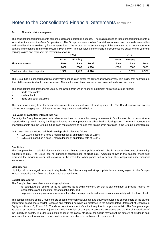### **24 Financial risk management**

The principal financial instruments comprise cash and short term deposits. The main purpose of these financial instruments is to provide finance for the Group's operations. The Group has various other financial instruments, such as trade receivables and payables that arise directly from its operations. The Group has taken advantage of the exemption to exclude short term debtors and creditors from the disclosures given below. The fair values of the financial instruments are equal to their year end carrying values and represent the maximum exposure.

|                              |       | 2014            |       |                          | 2013     |       |
|------------------------------|-------|-----------------|-------|--------------------------|----------|-------|
|                              | Fixed | <b>Floating</b> |       | Fixed                    | Floating |       |
| <b>Financial assets</b>      | Rate  | Rate            | Total | Rate                     | Rate     | Total |
|                              | £000  | £000            | £000  | £000                     | £000     | £000  |
| Cash and short term deposits | 1,500 | 7.420           | 8,920 | $\overline{\phantom{0}}$ | 6.571    | 6,571 |

The Group had no financial liabilities or derivative contracts in either the current or previous year. It is policy that no trading in financial instruments should be undertaken. The surplus cash balances have been invested in deposit accounts.

The principal financial instruments used by the Group, from which financial instrument risk arises, are as follows:

- trade receivables:
- cash at bank;
- trade and other payables.

The main risks arising from the financial instruments are interest rate risk and liquidity risk. The Board reviews and agrees policies for managing each of these risks and they are summarised below.

### **Fair value or cash flow interest rate risk**

Currently the Group has surplus cash balances so does not have a borrowing requirement. Surplus cash is put on short term deposit with high credit worthy banking institutions where appropriate at either fixed or floating rates. The Board monitors the financial markets and the Group's future cash requirements to ensure that this policy is exercised in the Group's best interests.

At 31 July 2014, the Group had fixed-rate deposits in place as follows:

- £750,000 placed on a fixed 3 month deposit at an interest rate of 0.55%
- £750,000 placed on a fixed 3 month deposit at an interest rate of 0.55%

#### **Credit risk**

The Group monitors credit risk closely and considers that its current policies of credit checks meet its objectives of managing exposure to risk. The Group has no significant concentration of credit risk. Amounts shown in the balance sheet best represent the maximum credit risk exposure in the event that other parties fail to perform their obligations under financial instruments.

#### **Liquidity risk**

Liquidity risk is managed on a day to day basis. Facilities are agreed at appropriate levels having regard to the Group's forecast operating cash flows and future capital expenditures.

#### **Capital disclosures**

The Group's objectives when maintaining capital are:

- to safeguard the entity's ability to continue as a going concern, so that it can continue to provide returns for shareholders and benefits for other stakeholders, and;
- to provide an adequate return to shareholders by pricing products and services commensurately with the level of risk.

The capital structure of the Group consists of cash and cash equivalents, and equity attributable to shareholders of the parent, comprising issued share capital, reserves and retained earnings as disclosed in the Consolidated Statement of Changes in Equity and Notes 13, 21 and 22. The Group sets the amount of capital it requires in proportion to risk. The Group manages its capital structure and makes adjustments to it in the light of changes in economic conditions and the risk characteristics of the underlying assets. In order to maintain or adjust the capital structure, the Group may adjust the amount of dividends paid to shareholders, return capital to shareholders, issue new shares or sell assets to reduce debt.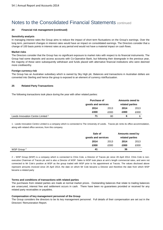#### **24 Financial risk management (continued)**

#### **Sensitivity analysis**

In managing interest rates the Group aims to reduce the impact of short term fluctuations on the Group's earnings. Over the long term, permanent changes in interest rates would have an impact on consolidated earnings. The Directors consider that a change of 100 basis points in interest rates at any period end would not have a material impact on cash flows.

#### **Market risks**

The Directors consider that the Group has no significant exposure to market risks with respect to its financial instruments. The Group had some deposits and access accounts with Co-Operative Bank, but following their downgrade in the previous year, the majority of these were subsequently withdrawn and funds placed with alternative financial institutions who were deemed more creditworthy.

#### **Foreign currency risk**

The Group has an Australian subsidiary which is owned by Sky High plc. Balances and transactions in Australian dollars are converted into Sterling and hence the group is exposed to an element of currency risk/fluctuation.

### **25 Related Party Transactions**

The following transactions took place during the year with other related parties:

|                                   | <b>Purchase of</b><br>goods and services |      | <b>Amounts owed to</b><br>related parties |      |
|-----------------------------------|------------------------------------------|------|-------------------------------------------|------|
|                                   |                                          |      |                                           |      |
|                                   | 2014                                     | 2013 | 2014                                      | 2013 |
|                                   | £000                                     | £000 | £000                                      | £000 |
| Leeds Innovation Centre Limited 1 | 71                                       | 80   |                                           | 6    |

1 - Leeds Innovation Centre Limited is a company which is connected to The University of Leeds. Tracsis plc rents its office accommodation, along with related office services, from this company.

|                        |      | Sale of<br>goods and services |                 | Amounts owed by          |
|------------------------|------|-------------------------------|-----------------|--------------------------|
|                        |      |                               | related parties |                          |
|                        | 2014 | 2013                          | 2014            | 2013                     |
|                        | £000 | £000                          | £000            | £000                     |
| WSP Group <sup>2</sup> | 41   | ۰.                            | 36              | $\overline{\phantom{a}}$ |

2 – WSP Group (WSP) is a company which is connected to Chris Cole, a Director of Tracsis plc since 28 April 2014. Chris Cole is nonexecutive Chairman of Tracsis plc and is also a Director of WSP. Sales to WSP took place at arm's length commercial rates, and were not connected to Mr Cole's position at WSP as the group traded with WSP prior to his appointment at Tracsis. The values disclosed above represent amounts invoiced since 28 April 2014, the date on which Mr Cole became a Director and therefore the date from which WSP became a related party

#### **Terms and conditions of transactions with related parties**

The purchases from related parties are made at normal market prices. Outstanding balances that relate to trading balances are unsecured, interest free and settlement occurs in cash. There have been no guarantees provided or received for any related party receivables or payables.

#### **Compensation of key management personnel of the Group**

The Group considers the directors to be its key management personnel. Full details of their compensation are set out in the Directors' Remuneration Report.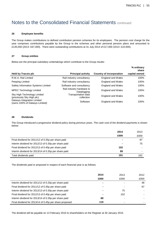#### **26 Employee benefits**

The Group makes contributions to defined contribution pension schemes for its employees. The pension cost charge for the year comprises contributions payable by the Group to the schemes and other personal pension plans and amounted to £135,000 (2013: £67,000). There were outstanding contributions at 31 July 2014 of £17,000 (2013: £10,000).

#### **27 Group entities**

Below are the principal subsidiary undertakings which contribute to the Group results:

|                                                               |                                         |                                 | % ordinary<br>share |
|---------------------------------------------------------------|-----------------------------------------|---------------------------------|---------------------|
| <b>Held by Tracsis plc</b>                                    | <b>Principal activity</b>               | <b>Country of incorporation</b> | capital owned       |
| R.W.A. Rail Limited                                           | Rail industry consultancy               | <b>England and Wales</b>        | 100%                |
| Peeping Limited                                               | Rail industry consultancy               | <b>England and Wales</b>        | 100%                |
| Safety Information Systems Limited                            | Software and consultancy                | <b>England and Wales</b>        | 100%                |
| <b>MPEC Technology Limited</b>                                | Rail industry hardware &<br>Datalogging | <b>England and Wales</b>        | 100%                |
| Sky High Technology Limited<br>(previously Sky High plc)      | Transportation data<br>collection       | <b>England and Wales</b>        | 100%                |
| Datasys Integration Limited<br>(owns 100% of Datasys Limited) | Software                                | England and Wales               | 100%                |

#### **28 Dividends**

The Group introduced a progressive dividend policy during previous years. The cash cost of the dividend payments is shown below:

|                                                      | 2014           | 2013 |
|------------------------------------------------------|----------------|------|
|                                                      | £000           | £000 |
| Final dividend for 2011/12 of 0.35p per share paid   |                | 87   |
| Interim dividend for 2012/13 of 0.30p per share paid | $\blacksquare$ | 75   |
| Final dividend for 2012/13 of 0.40p per share paid   | 102            |      |
| Interim dividend for 2013/14 of 0.35p per share paid | 89             |      |
| Total dividends paid                                 | 191            | 162  |

The dividends paid or proposed in respect of each financial year is as follows:

|                                                        | 2014<br>£000 | 2013<br>£000 | 2012<br>£000 |
|--------------------------------------------------------|--------------|--------------|--------------|
| Interim dividend for 2011/12 of 0.20p per share paid   |              |              | 48           |
| Final dividend for 2011/12 of 0.35p per share paid     |              |              | 87           |
| Interim dividend for 2012/13 of 0.30p per share paid   |              | 75           |              |
| Final dividend for 2012/13 of 0.40p per share paid     |              | 102          |              |
| Interim dividend for 2013/14 of 0.35p per share paid   | 89           |              |              |
| Final dividend for 2013/14 of 0.45p per share proposed | 119          |              |              |

The dividend will be payable on 13 February 2015 to shareholders on the Register at 30 January 2015.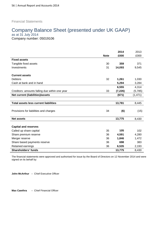Financial Statements

# Company Balance Sheet (presented under UK GAAP) as at 31 July 2014

Company number: 05019106

|                                                |             | 2014     | 2013     |
|------------------------------------------------|-------------|----------|----------|
|                                                | <b>Note</b> | £000     | £000     |
| <b>Fixed assets</b>                            |             |          |          |
| Tangible fixed assets                          | 30          | 359      | 371      |
| Investments                                    | 31          | 14,093   | 9,545    |
| <b>Current assets</b>                          |             |          |          |
| <b>Debtors</b>                                 | 32          | 1,261    | 1,030    |
| Cash at bank and in hand                       |             | 5,294    | 3,284    |
|                                                |             | 6,555    | 4,314    |
| Creditors: amounts falling due within one year | 33          | (7, 226) | (5,785)  |
| Net current (liabilities)/assets               |             | (671)    | (1, 471) |
|                                                |             |          |          |
| <b>Total assets less current liabilities</b>   |             | 13,781   | 8,445    |
| Provisions for liabilities and charges         | 34          | (6)      | (15)     |
| <b>Net assets</b>                              |             | 13,775   | 8,430    |
| <b>Capital and reserves</b>                    |             |          |          |
| Called up share capital                        | 35          | 105      | 102      |
| Share premium reserve                          | 36          | 4,591    | 4,280    |
| Merger reserve                                 | 36          | 1,846    | 1,472    |
| Share based payments reserve                   | 36          | 698      | 383      |
| Retained earnings                              | 36          | 6,535    | 2,193    |
| <b>Shareholders' funds</b>                     |             | 13,775   | 8,430    |

The financial statements were approved and authorised for issue by the Board of Directors on 12 November 2014 and were signed on its behalf by:

**John McArthur** – Chief Executive Officer

**Max Cawthra** – Chief Financial Officer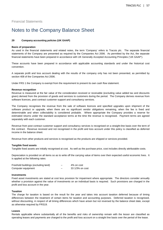Financial Statements

# Notes to the Company Balance Sheet

#### **29 Company accounting policies (UK GAAP)**

#### **Basis of preparation**

As used in the financial statements and related notes, the term 'Company' refers to Tracsis plc. The separate financial statements of the Company are presented as required by the Companies Act 2006. As permitted by the Act, the separate financial statements have been prepared in accordance with UK Generally Accepted Accounting Principles ('UK GAAP').

These accounts have been prepared in accordance with applicable accounting standards and under the historical cost convention.

A separate profit and loss account dealing with the results of the company only has not been presented, as permitted by section 408 of the Companies Act 2006.

Under FRS 1 the Company is exempt from the requirement to present its own cash flow statement.

#### **Revenue recognition**

Revenue is measured at the fair value of the consideration received or receivable (excluding value added tax and discounts given) derived from the provision of goods and services to customers during the period. The Company derives revenue from software licences, post contract customer support and consultancy services.

The Company recognises the revenue from the sale of software licences and specified upgrades upon shipment of the software product or upgrade, when there are no significant vendor obligations remaining, when the fee is fixed and determinable and when collectability is considered probable. Where appropriate the Company provides a reserve for estimated returns under the standard acceptance terms at the time the revenue is recognised. Payment terms are agreed separately with each customer.

Revenue from post contract customer support and consultancy services is recognised on a straight-line basis over the term of the contract. Revenue received and not recognised in the profit and loss account under this policy is classified as deferred income in the balance sheet.

Revenue from other products and services is recognised as the products are shipped or services provided.

#### **Tangible fixed assets**

Tangible fixed assets are initially recognised at cost. As well as the purchase price, cost includes directly attributable costs.

Depreciation is provided on all items so as to write off the carrying value of items over their expected useful economic lives. It is applied at the following rates:

| Freehold buildings (excluding land) | - | 4% on cost      |
|-------------------------------------|---|-----------------|
| Computer equipment                  | - | 33 1/3% on cost |

### **Investments**

Fixed asset investments are stated at cost less provision for impairment where appropriate. The directors consider annually whether a provision against the value of investments on an individual basis is required. Such provisions are charged in the profit and loss account in the year.

#### **Taxation**

The charge for taxation is based on the result for the year and takes into account taxation deferred because of timing differences between the treatment of certain items for taxation and accounting purposes. Deferred taxation is recognised, without discounting, in respect of all timing differences which have arisen but not reversed by the balance sheet date, except as otherwise required by FRS19.

#### **Leases**

Rentals applicable where substantially all of the benefits and risks of ownership remain with the lessor are classified as operating leases and payments are charged to the profit and loss account on a straight line basis over the period of the lease.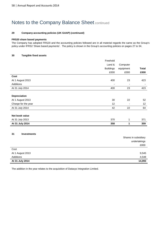### **29 Company accounting policies (UK GAAP) (continued)**

### **FRS20 share based payments**

The Company has adopted FRS20 and the accounting policies followed are in all material regards the same as the Group's policy under IFRS2 'Share based payments'. The policy is shown in the Group's accounting policies on pages 27 to 34.

### **30 Tangible fixed assets**

|                          | Freehold         |                          |                          |
|--------------------------|------------------|--------------------------|--------------------------|
|                          | Land &           | Computer                 |                          |
|                          | <b>Buildings</b> | equipment                | <b>Total</b>             |
|                          | £000             | £000                     | £000                     |
| Cost                     |                  |                          |                          |
| At 1 August 2013         | 400              | 23                       | 423                      |
| Additions                |                  | -                        | $\overline{\phantom{a}}$ |
| At 31 July 2014          | 400              | 23                       | 423                      |
| <b>Depreciation</b>      |                  |                          |                          |
| At 1 August 2013         | 30               | 22                       | 52                       |
| Charge for the year      | 12               | $\overline{\phantom{a}}$ | 12 <sub>2</sub>          |
| At 31 July 2014          | 42               | 22                       | 64                       |
|                          |                  |                          |                          |
| Net book value           |                  |                          |                          |
| At 31 July 2013          | 370              | 1                        | 371                      |
| At 31 July 2014          | 358              | 1                        | 359                      |
|                          |                  |                          |                          |
| <b>Investments</b><br>31 |                  |                          |                          |
|                          |                  |                          | Shares in subsidiary     |
|                          |                  |                          | undertakings             |
|                          |                  |                          | £000                     |
| Cost                     |                  |                          |                          |
| At 1 August 2013         |                  |                          | 9,545                    |
| Additions                |                  |                          | 4,548                    |

**At 31 July 2014 14,093** 

The addition in the year relates to the acquisition of Datasys Integration Limited.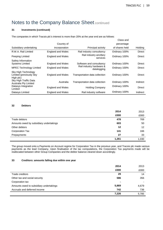### **31 Investments (continued)**

The companies in which Tracsis plc's interest is more than 20% at the year end are as follows:

|                                                             |                          |                                         | Class and      |          |
|-------------------------------------------------------------|--------------------------|-----------------------------------------|----------------|----------|
|                                                             | Country of               |                                         | percentage     |          |
| Subsidiary undertaking                                      | incorporation            | Principal activity                      | of shares held | Holding  |
| R.W.A. Rail Limited                                         | <b>England and Wales</b> | Rail industry consultancy               | Ordinary 100%  | Direct   |
| Peeping Limited                                             | <b>England and Wales</b> | Rail industry ancillary<br>services     | Ordinary 100%  | Direct   |
| Safety Information<br><b>Systems Limited</b>                | <b>England and Wales</b> | Software and consultancy                | Ordinary 100%  | Direct   |
| <b>MPEC Technology Limited</b>                              | <b>England and Wales</b> | Rail industry hardware &<br>datalogging | Ordinary 100%  | Direct   |
| Sky High Technology<br>Limited (previously Sky<br>High plc) | <b>England and Wales</b> | Transportation data collection          | Ordinary 100%  | Direct   |
| Sky High Traffic Data<br>Australia Pty Limited              | Australia                | Transportation data collection          | Ordinary 100%  | Indirect |
| Datasys Integration<br>Limited                              | <b>England and Wales</b> | <b>Holding Company</b>                  | Ordinary 100%  | Direct   |
| Datasys Limited                                             | <b>England and Wales</b> | Rail industry software                  | Ordinary 100%  | Indirect |

#### **32 Debtors**

|                                         | 2014  | 2013  |
|-----------------------------------------|-------|-------|
|                                         | £000  | £000  |
| Trade debtors                           | 478   | 769   |
| Amounts owed by subsidiary undertakings | 603   | 50    |
| Other debtors                           | 12    | 12    |
| <b>Corporation Tax</b>                  | 141   | 166   |
| Prepayments                             | 27    | 33    |
|                                         | 1,261 | 1,030 |

The group moved onto a Payments on Account regime for Corporation Tax in the previous year, and Tracsis plc made various payments as the lead Company. Upon finalisation of the tax computations, the Corporation Tax payments made will be reallocated between other Group Companies and the debtor balance cleared down accordingly.

#### **33 Creditors: amounts falling due within one year**

|                                         | 2014           | 2013  |
|-----------------------------------------|----------------|-------|
|                                         | £000           | £000  |
| Trade creditors                         | 29             | 14    |
| Other tax and social security           | 586            | 356   |
| Corporation tax                         | $\blacksquare$ |       |
| Amounts owed to subsidiary undertakings | 5,869          | 4,679 |
| Accruals and deferred income            | 742            | 736   |
|                                         | 7,226          | 5,785 |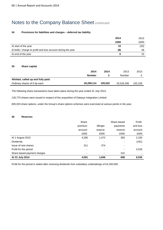### **34 Provisions for liabilities and charges – deferred tax liability**

|                                                              | 2014 | 2013 |
|--------------------------------------------------------------|------|------|
|                                                              | £000 | £000 |
| At start of the year                                         | 15   | (33) |
| (Credit) / charge to profit and loss account during the year | (9)  | 48   |
| At end of the year                                           |      | 15   |

### **35 Share capital**

|                                     | 2014          | 2014    | 2013       | 2013    |
|-------------------------------------|---------------|---------|------------|---------|
|                                     | <b>Number</b> |         | Number     |         |
| Allotted, called up and fully paid: |               |         |            |         |
| Ordinary shares of 0.4p each        | 26,258,114    | 105.032 | 25,526,306 | 102.105 |

The following share transactions have taken place during the year ended 31 July 2014:

126,775 shares were issued in respect of the acquisition of Datasys Integration Limited

605,033 share options, under the Group's share options schemes were exercised at various points in the year.

#### **36 Reserves**

|                             | Share                    |                          | Share based | Profit   |
|-----------------------------|--------------------------|--------------------------|-------------|----------|
|                             | premium                  | Merger                   | payments    | and loss |
|                             | account                  | reserve                  | reserve     | account  |
|                             | £000                     | £000                     | £000        | £000     |
| At 1 August 2013            | 4,280                    | 1,472                    | 383         | 2,193    |
| <b>Dividends</b>            |                          | ٠                        |             | (191)    |
| Issue of new shares         | 311                      | 374                      |             |          |
| Profit for the period       | $\overline{\phantom{a}}$ | $\overline{\phantom{a}}$ |             | 4,533    |
| Share based payment charges | $\overline{\phantom{a}}$ | ٠                        | 315         |          |
| At 31 July 2014             | 4,591                    | 1,846                    | 698         | 6,535    |

Profit for the period is stated after receiving dividends from subsidiary undertakings of £4,250,000.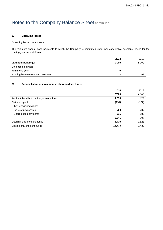### **37 Operating leases**

### Operating lease commitments

The minimum annual lease payments to which the Company is committed under non-cancellable operating leases for the coming year are as follows:

|                                    | 2014           | 2013  |
|------------------------------------|----------------|-------|
| Land and buildings:                | £'000          | £'000 |
| On leases expiring:                |                |       |
| Within one year                    | 9              |       |
| Expiring between one and two years | $\blacksquare$ | 58    |

### **38 Reconciliation of movement in shareholders' funds**

|                                              | 2014   | 2013  |
|----------------------------------------------|--------|-------|
|                                              | £'000  | £'000 |
| Profit attributable to ordinary shareholders | 4,533  | 173   |
| Dividends paid                               | (191)  | (162) |
| Other recognised gains:                      |        |       |
| - Issue of new shares                        | 688    | 707   |
| - Share based payments                       | 315    | 189   |
|                                              | 5,345  | 907   |
| Opening shareholders' funds                  | 8,430  | 7,523 |
| Closing shareholders' funds                  | 13,775 | 8,430 |